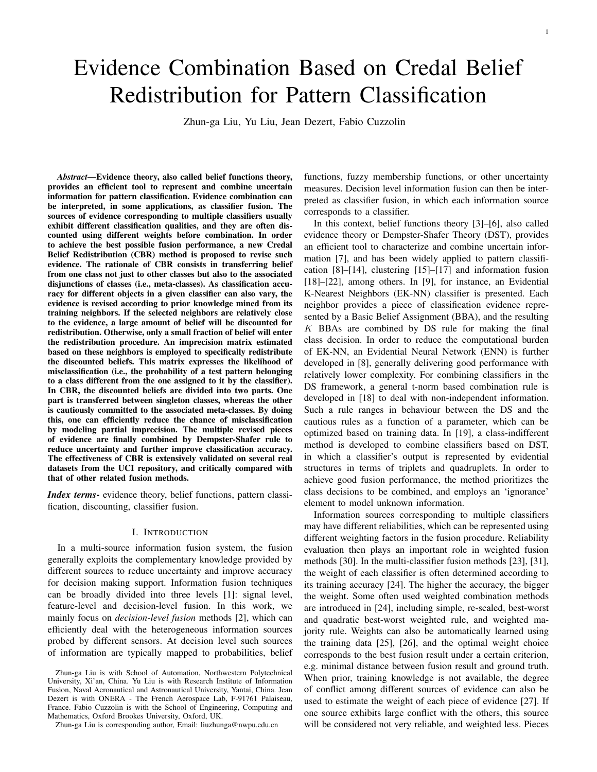# Evidence Combination Based on Credal Belief Redistribution for Pattern Classification

Zhun-ga Liu, Yu Liu, Jean Dezert, Fabio Cuzzolin

*Abstract*—Evidence theory, also called belief functions theory, provides an efficient tool to represent and combine uncertain information for pattern classification. Evidence combination can be interpreted, in some applications, as classifier fusion. The sources of evidence corresponding to multiple classifiers usually exhibit different classification qualities, and they are often discounted using different weights before combination. In order to achieve the best possible fusion performance, a new Credal Belief Redistribution (CBR) method is proposed to revise such evidence. The rationale of CBR consists in transferring belief from one class not just to other classes but also to the associated disjunctions of classes (i.e., meta-classes). As classification accuracy for different objects in a given classifier can also vary, the evidence is revised according to prior knowledge mined from its training neighbors. If the selected neighbors are relatively close to the evidence, a large amount of belief will be discounted for redistribution. Otherwise, only a small fraction of belief will enter the redistribution procedure. An imprecision matrix estimated based on these neighbors is employed to specifically redistribute the discounted beliefs. This matrix expresses the likelihood of misclassification (i.e., the probability of a test pattern belonging to a class different from the one assigned to it by the classifier). In CBR, the discounted beliefs are divided into two parts. One part is transferred between singleton classes, whereas the other is cautiously committed to the associated meta-classes. By doing this, one can efficiently reduce the chance of misclassification by modeling partial imprecision. The multiple revised pieces of evidence are finally combined by Dempster-Shafer rule to reduce uncertainty and further improve classification accuracy. The effectiveness of CBR is extensively validated on several real datasets from the UCI repository, and critically compared with that of other related fusion methods.

*Index terms*- evidence theory, belief functions, pattern classification, discounting, classifier fusion.

#### I. INTRODUCTION

In a multi-source information fusion system, the fusion generally exploits the complementary knowledge provided by different sources to reduce uncertainty and improve accuracy for decision making support. Information fusion techniques can be broadly divided into three levels [1]: signal level, feature-level and decision-level fusion. In this work, we mainly focus on *decision-level fusion* methods [2], which can efficiently deal with the heterogeneous information sources probed by different sensors. At decision level such sources of information are typically mapped to probabilities, belief

Zhun-ga Liu is corresponding author, Email: liuzhunga@nwpu.edu.cn

functions, fuzzy membership functions, or other uncertainty measures. Decision level information fusion can then be interpreted as classifier fusion, in which each information source corresponds to a classifier.

In this context, belief functions theory [3]–[6], also called evidence theory or Dempster-Shafer Theory (DST), provides an efficient tool to characterize and combine uncertain information [7], and has been widely applied to pattern classification [8]–[14], clustering [15]–[17] and information fusion [18]–[22], among others. In [9], for instance, an Evidential K-Nearest Neighbors (EK-NN) classifier is presented. Each neighbor provides a piece of classification evidence represented by a Basic Belief Assignment (BBA), and the resulting *K* BBAs are combined by DS rule for making the final class decision. In order to reduce the computational burden of EK-NN, an Evidential Neural Network (ENN) is further developed in [8], generally delivering good performance with relatively lower complexity. For combining classifiers in the DS framework, a general t-norm based combination rule is developed in [18] to deal with non-independent information. Such a rule ranges in behaviour between the DS and the cautious rules as a function of a parameter, which can be optimized based on training data. In [19], a class-indifferent method is developed to combine classifiers based on DST, in which a classifier's output is represented by evidential structures in terms of triplets and quadruplets. In order to achieve good fusion performance, the method prioritizes the class decisions to be combined, and employs an 'ignorance' element to model unknown information.

Information sources corresponding to multiple classifiers may have different reliabilities, which can be represented using different weighting factors in the fusion procedure. Reliability evaluation then plays an important role in weighted fusion methods [30]. In the multi-classifier fusion methods [23], [31], the weight of each classifier is often determined according to its training accuracy [24]. The higher the accuracy, the bigger the weight. Some often used weighted combination methods are introduced in [24], including simple, re-scaled, best-worst and quadratic best-worst weighted rule, and weighted majority rule. Weights can also be automatically learned using the training data [25], [26], and the optimal weight choice corresponds to the best fusion result under a certain criterion, e.g. minimal distance between fusion result and ground truth. When prior, training knowledge is not available, the degree of conflict among different sources of evidence can also be used to estimate the weight of each piece of evidence [27]. If one source exhibits large conflict with the others, this source will be considered not very reliable, and weighted less. Pieces

Zhun-ga Liu is with School of Automation, Northwestern Polytechnical University, Xi'an, China. Yu Liu is with Research Institute of Information Fusion, Naval Aeronautical and Astronautical University, Yantai, China. Jean Dezert is with ONERA - The French Aerospace Lab, F-91761 Palaiseau, France. Fabio Cuzzolin is with the School of Engineering, Computing and Mathematics, Oxford Brookes University, Oxford, UK.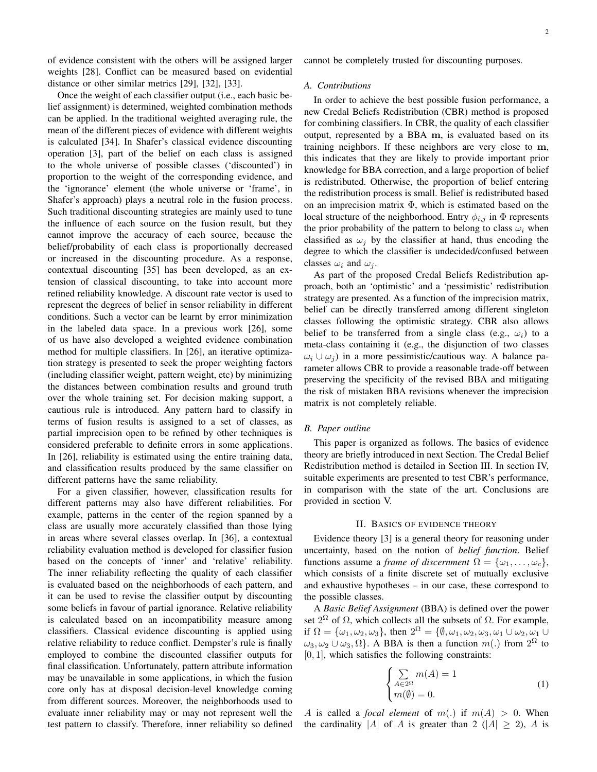of evidence consistent with the others will be assigned larger weights [28]. Conflict can be measured based on evidential distance or other similar metrics [29], [32], [33].

Once the weight of each classifier output (i.e., each basic belief assignment) is determined, weighted combination methods can be applied. In the traditional weighted averaging rule, the mean of the different pieces of evidence with different weights is calculated [34]. In Shafer's classical evidence discounting operation [3], part of the belief on each class is assigned to the whole universe of possible classes ('discounted') in proportion to the weight of the corresponding evidence, and the 'ignorance' element (the whole universe or 'frame', in Shafer's approach) plays a neutral role in the fusion process. Such traditional discounting strategies are mainly used to tune the influence of each source on the fusion result, but they cannot improve the accuracy of each source, because the belief/probability of each class is proportionally decreased or increased in the discounting procedure. As a response, contextual discounting [35] has been developed, as an extension of classical discounting, to take into account more refined reliability knowledge. A discount rate vector is used to represent the degrees of belief in sensor reliability in different conditions. Such a vector can be learnt by error minimization in the labeled data space. In a previous work [26], some of us have also developed a weighted evidence combination method for multiple classifiers. In [26], an iterative optimization strategy is presented to seek the proper weighting factors (including classifier weight, pattern weight, etc) by minimizing the distances between combination results and ground truth over the whole training set. For decision making support, a cautious rule is introduced. Any pattern hard to classify in terms of fusion results is assigned to a set of classes, as partial imprecision open to be refined by other techniques is considered preferable to definite errors in some applications. In [26], reliability is estimated using the entire training data, and classification results produced by the same classifier on different patterns have the same reliability.

For a given classifier, however, classification results for different patterns may also have different reliabilities. For example, patterns in the center of the region spanned by a class are usually more accurately classified than those lying in areas where several classes overlap. In [36], a contextual reliability evaluation method is developed for classifier fusion based on the concepts of 'inner' and 'relative' reliability. The inner reliability reflecting the quality of each classifier is evaluated based on the neighborhoods of each pattern, and it can be used to revise the classifier output by discounting some beliefs in favour of partial ignorance. Relative reliability is calculated based on an incompatibility measure among classifiers. Classical evidence discounting is applied using relative reliability to reduce conflict. Dempster's rule is finally employed to combine the discounted classifier outputs for final classification. Unfortunately, pattern attribute information may be unavailable in some applications, in which the fusion core only has at disposal decision-level knowledge coming from different sources. Moreover, the neighborhoods used to evaluate inner reliability may or may not represent well the test pattern to classify. Therefore, inner reliability so defined cannot be completely trusted for discounting purposes.

#### *A. Contributions*

In order to achieve the best possible fusion performance, a new Credal Beliefs Redistribution (CBR) method is proposed for combining classifiers. In CBR, the quality of each classifier output, represented by a BBA **m**, is evaluated based on its training neighbors. If these neighbors are very close to **m**, this indicates that they are likely to provide important prior knowledge for BBA correction, and a large proportion of belief is redistributed. Otherwise, the proportion of belief entering the redistribution process is small. Belief is redistributed based on an imprecision matrix Φ, which is estimated based on the local structure of the neighborhood. Entry  $\phi_{i,j}$  in  $\Phi$  represents the prior probability of the pattern to belong to class  $\omega_i$  when classified as  $\omega_j$  by the classifier at hand, thus encoding the degree to which the classifier is undecided/confused between classes  $\omega_i$  and  $\omega_j$ .

As part of the proposed Credal Beliefs Redistribution approach, both an 'optimistic' and a 'pessimistic' redistribution strategy are presented. As a function of the imprecision matrix, belief can be directly transferred among different singleton classes following the optimistic strategy. CBR also allows belief to be transferred from a single class (e.g.,  $\omega_i$ ) to a meta-class containing it (e.g., the disjunction of two classes  $\omega_i \cup \omega_j$  in a more pessimistic/cautious way. A balance parameter allows CBR to provide a reasonable trade-off between preserving the specificity of the revised BBA and mitigating the risk of mistaken BBA revisions whenever the imprecision matrix is not completely reliable.

## *B. Paper outline*

This paper is organized as follows. The basics of evidence theory are briefly introduced in next Section. The Credal Belief Redistribution method is detailed in Section III. In section IV, suitable experiments are presented to test CBR's performance, in comparison with the state of the art. Conclusions are provided in section V.

#### II. BASICS OF EVIDENCE THEORY

Evidence theory [3] is a general theory for reasoning under uncertainty, based on the notion of *belief function*. Belief functions assume a *frame of discernment*  $\Omega = {\omega_1, \ldots, \omega_c}$ , which consists of a finite discrete set of mutually exclusive and exhaustive hypotheses – in our case, these correspond to the possible classes.

A *Basic Belief Assignment* (BBA) is defined over the power set  $2^{\Omega}$  of  $\Omega$ , which collects all the subsets of  $\Omega$ . For example, if  $\Omega = {\omega_1, \omega_2, \omega_3}$ , then  $2^{\Omega} = {\emptyset, \omega_1, \omega_2, \omega_3, \omega_1 \cup \omega_2, \omega_1 \cup \omega_3}$  $\omega_3, \omega_2 \cup \omega_3, \Omega$ . A BBA is then a function  $m(.)$  from  $2^{\Omega}$  to [0*,* 1], which satisfies the following constraints:

$$
\begin{cases} \sum_{A \in 2^{\Omega}} m(A) = 1\\ m(\emptyset) = 0. \end{cases}
$$
 (1)

*A* is called a *focal element* of  $m(.)$  if  $m(A) > 0$ . When the cardinality  $|A|$  of *A* is greater than 2 ( $|A| \ge 2$ ), *A* is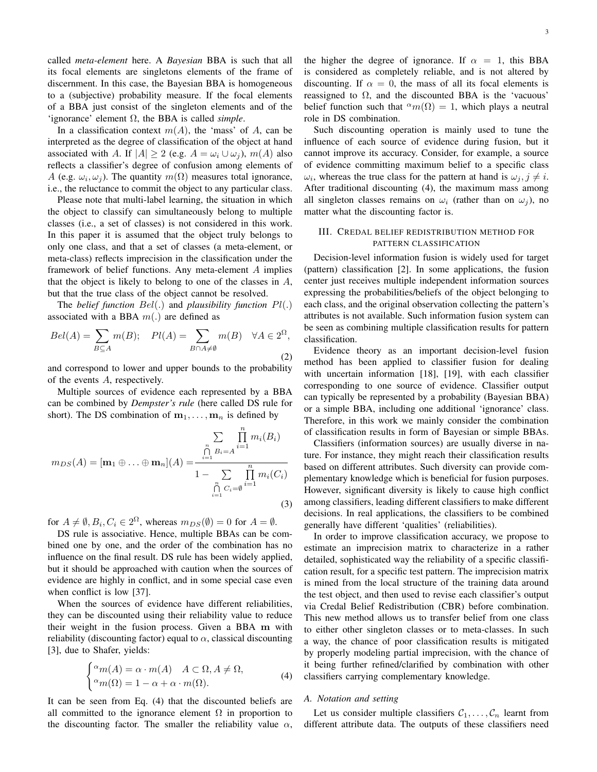called *meta-element* here. A *Bayesian* BBA is such that all its focal elements are singletons elements of the frame of discernment. In this case, the Bayesian BBA is homogeneous to a (subjective) probability measure. If the focal elements of a BBA just consist of the singleton elements and of the 'ignorance' element Ω, the BBA is called *simple*.

In a classification context  $m(A)$ , the 'mass' of *A*, can be interpreted as the degree of classification of the object at hand associated with *A*. If  $|A| \ge 2$  (e.g.  $A = \omega_i \cup \omega_j$ ),  $m(A)$  also reflects a classifier's degree of confusion among elements of *A* (e.g.  $\omega_i, \omega_j$ ). The quantity  $m(\Omega)$  measures total ignorance, i.e., the reluctance to commit the object to any particular class.

Please note that multi-label learning, the situation in which the object to classify can simultaneously belong to multiple classes (i.e., a set of classes) is not considered in this work. In this paper it is assumed that the object truly belongs to only one class, and that a set of classes (a meta-element, or meta-class) reflects imprecision in the classification under the framework of belief functions. Any meta-element *A* implies that the object is likely to belong to one of the classes in *A*, but that the true class of the object cannot be resolved.

The *belief function Bel*(*.*) and *plausibility function Pl*(*.*) associated with a BBA *m*(*.*) are defined as

$$
Bel(A) = \sum_{B \subseteq A} m(B); \quad Pl(A) = \sum_{B \cap A \neq \emptyset} m(B) \quad \forall A \in 2^{\Omega},
$$
\n(2)

and correspond to lower and upper bounds to the probability of the events *A*, respectively.

Multiple sources of evidence each represented by a BBA can be combined by *Dempster's rule* (here called DS rule for short). The DS combination of  $m_1, \ldots, m_n$  is defined by

$$
m_{DS}(A) = [\mathbf{m}_1 \oplus ... \oplus \mathbf{m}_n](A) = \frac{\sum_{i=1}^{n} \prod_{j=1}^{n} m_i(B_i)}{1 - \sum_{i=1}^{n} \prod_{j=1}^{n} m_i(C_i)}
$$
  
\n
$$
\bigcap_{i=1}^{n} C_i = \emptyset
$$
  
\n(3)

for  $A \neq \emptyset$ ,  $B_i$ ,  $C_i \in 2^{\Omega}$ , whereas  $m_{DS}(\emptyset) = 0$  for  $A = \emptyset$ .

DS rule is associative. Hence, multiple BBAs can be combined one by one, and the order of the combination has no influence on the final result. DS rule has been widely applied, but it should be approached with caution when the sources of evidence are highly in conflict, and in some special case even when conflict is low [37].

When the sources of evidence have different reliabilities, they can be discounted using their reliability value to reduce their weight in the fusion process. Given a BBA **m** with reliability (discounting factor) equal to  $\alpha$ , classical discounting [3], due to Shafer, yields:

$$
\begin{cases} \alpha_m(A) = \alpha \cdot m(A) & A \subset \Omega, A \neq \Omega, \\ \alpha_m(\Omega) = 1 - \alpha + \alpha \cdot m(\Omega). \end{cases}
$$
 (4)

It can be seen from Eq. (4) that the discounted beliefs are all committed to the ignorance element  $\Omega$  in proportion to the discounting factor. The smaller the reliability value  $\alpha$ ,

Such discounting operation is mainly used to tune the influence of each source of evidence during fusion, but it cannot improve its accuracy. Consider, for example, a source of evidence committing maximum belief to a specific class  $\omega_i$ , whereas the true class for the pattern at hand is  $\omega_j$ ,  $j \neq i$ . After traditional discounting (4), the maximum mass among all singleton classes remains on  $\omega_i$  (rather than on  $\omega_i$ ), no matter what the discounting factor is.

## III. CREDAL BELIEF REDISTRIBUTION METHOD FOR PATTERN CLASSIFICATION

Decision-level information fusion is widely used for target (pattern) classification [2]. In some applications, the fusion center just receives multiple independent information sources expressing the probabilities/beliefs of the object belonging to each class, and the original observation collecting the pattern's attributes is not available. Such information fusion system can be seen as combining multiple classification results for pattern classification.

Evidence theory as an important decision-level fusion method has been applied to classifier fusion for dealing with uncertain information [18], [19], with each classifier corresponding to one source of evidence. Classifier output can typically be represented by a probability (Bayesian BBA) or a simple BBA, including one additional 'ignorance' class. Therefore, in this work we mainly consider the combination of classification results in form of Bayesian or simple BBAs.

Classifiers (information sources) are usually diverse in nature. For instance, they might reach their classification results based on different attributes. Such diversity can provide complementary knowledge which is beneficial for fusion purposes. However, significant diversity is likely to cause high conflict among classifiers, leading different classifiers to make different decisions. In real applications, the classifiers to be combined generally have different 'qualities' (reliabilities).

In order to improve classification accuracy, we propose to estimate an imprecision matrix to characterize in a rather detailed, sophisticated way the reliability of a specific classification result, for a specific test pattern. The imprecision matrix is mined from the local structure of the training data around the test object, and then used to revise each classifier's output via Credal Belief Redistribution (CBR) before combination. This new method allows us to transfer belief from one class to either other singleton classes or to meta-classes. In such a way, the chance of poor classification results is mitigated by properly modeling partial imprecision, with the chance of it being further refined/clarified by combination with other classifiers carrying complementary knowledge.

#### *A. Notation and setting*

Let us consider multiple classifiers  $C_1, \ldots, C_n$  learnt from different attribute data. The outputs of these classifiers need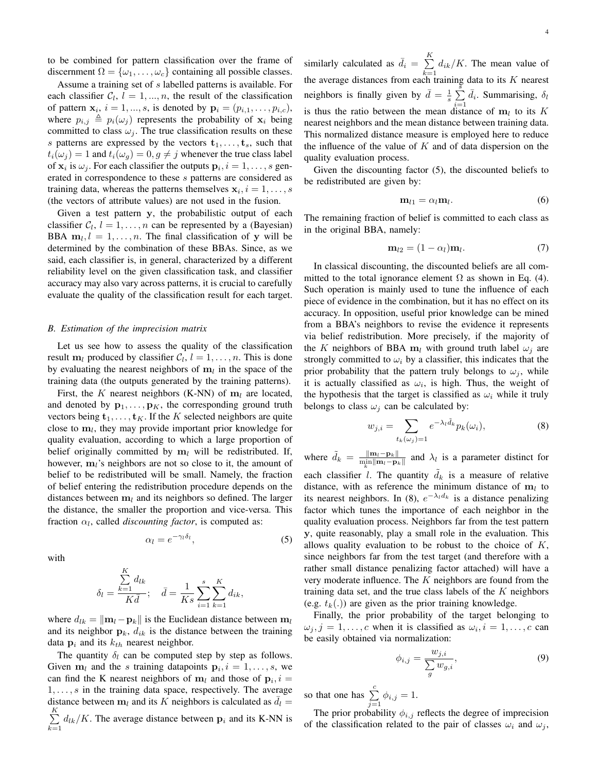to be combined for pattern classification over the frame of discernment  $\Omega = {\omega_1, \ldots, \omega_c}$  containing all possible classes.

Assume a training set of *s* labelled patterns is available. For each classifier  $C_l$ ,  $l = 1, ..., n$ , the result of the classification of pattern  $x_i$ ,  $i = 1, ..., s$ , is denoted by  $p_i = (p_{i,1}, ..., p_{i,c})$ , where  $p_{i,j} \triangleq p_i(\omega_j)$  represents the probability of  $\mathbf{x}_i$  being committed to class  $\omega_j$ . The true classification results on these *s* patterns are expressed by the vectors  $t_1, \ldots, t_s$ , such that  $t_i(\omega_j) = 1$  and  $t_i(\omega_q) = 0, g \neq j$  whenever the true class label of  $\mathbf{x}_i$  is  $\omega_j$ . For each classifier the outputs  $\mathbf{p}_i$ ,  $i = 1, \dots, s$  generated in correspondence to these *s* patterns are considered as training data, whereas the patterns themselves  $x_i$ ,  $i = 1, \ldots, s$ (the vectors of attribute values) are not used in the fusion.

Given a test pattern **y**, the probabilistic output of each classifier  $C_l$ ,  $l = 1, ..., n$  can be represented by a (Bayesian) BBA  $m_l$ ,  $l = 1, \ldots, n$ . The final classification of **y** will be determined by the combination of these BBAs. Since, as we said, each classifier is, in general, characterized by a different reliability level on the given classification task, and classifier accuracy may also vary across patterns, it is crucial to carefully evaluate the quality of the classification result for each target.

#### *B. Estimation of the imprecision matrix*

Let us see how to assess the quality of the classification result  $m_l$  produced by classifier  $C_l$ ,  $l = 1, ..., n$ . This is done by evaluating the nearest neighbors of  $m_l$  in the space of the training data (the outputs generated by the training patterns).

First, the *K* nearest neighbors (K-NN) of  $m_l$  are located, and denoted by  $\mathbf{p}_1, \ldots, \mathbf{p}_K$ , the corresponding ground truth vectors being  $\mathbf{t}_1, \ldots, \mathbf{t}_K$ . If the *K* selected neighbors are quite close to **m***<sup>l</sup>* , they may provide important prior knowledge for quality evaluation, according to which a large proportion of belief originally committed by  $m_l$  will be redistributed. If, however, **m***l*'s neighbors are not so close to it, the amount of belief to be redistributed will be small. Namely, the fraction of belief entering the redistribution procedure depends on the distances between **m***<sup>l</sup>* and its neighbors so defined. The larger the distance, the smaller the proportion and vice-versa. This fraction  $\alpha_l$ , called *discounting factor*, is computed as:

with

$$
\delta_l = \frac{\sum_{k=1}^{K} d_{lk}}{K \bar{d}}; \quad \bar{d} = \frac{1}{Ks} \sum_{i=1}^{s} \sum_{k=1}^{K} d_{ik},
$$

 $\alpha_l = e^{-\gamma_l \delta_l}$ 

where  $d_{lk} = ||\mathbf{m}_l - \mathbf{p}_k||$  is the Euclidean distance between  $\mathbf{m}_l$ and its neighbor  $\mathbf{p}_k$ ,  $d_{ik}$  is the distance between the training data  $\mathbf{p}_i$  and its  $k_{th}$  nearest neighbor.

The quantity  $\delta_l$  can be computed step by step as follows. Given  $\mathbf{m}_l$  and the *s* training datapoints  $\mathbf{p}_i$ ,  $i = 1, \ldots, s$ , we can find the K nearest neighbors of  $m_l$  and those of  $p_i$ ,  $i =$ 1*, . . . , s* in the training data space, respectively. The average distance between  $\mathbf{m}_l$  and its *K* neighbors is calculated as  $\bar{d}_l$  = ∑ *K*  $\sum_{k=1} d_{lk} / K$ . The average distance between  $p_i$  and its K-NN is

similarly calculated as  $\bar{d}_i = \sum_{i=1}^{K}$  $\sum_{k=1} d_{ik}/K$ . The mean value of the average distances from each training data to its  $K$  nearest neighbors is finally given by  $\bar{d} = \frac{1}{s} \sum_{i=1}^{s}$  $\sum_{i=1}^{5} \bar{d}_i$ . Summarising,  $\delta_l$ is thus the ratio between the mean distance of  $m_l$  to its  $K$ nearest neighbors and the mean distance between training data. This normalized distance measure is employed here to reduce the influence of the value of *K* and of data dispersion on the quality evaluation process.

Given the discounting factor (5), the discounted beliefs to be redistributed are given by:

$$
\mathbf{m}_{l1} = \alpha_l \mathbf{m}_l. \tag{6}
$$

The remaining fraction of belief is committed to each class as in the original BBA, namely:

$$
\mathbf{m}_{l2} = (1 - \alpha_l)\mathbf{m}_l. \tag{7}
$$

In classical discounting, the discounted beliefs are all committed to the total ignorance element  $\Omega$  as shown in Eq. (4). Such operation is mainly used to tune the influence of each piece of evidence in the combination, but it has no effect on its accuracy. In opposition, useful prior knowledge can be mined from a BBA's neighbors to revise the evidence it represents via belief redistribution. More precisely, if the majority of the *K* neighbors of BBA  $m_l$  with ground truth label  $\omega_j$  are strongly committed to  $\omega_i$  by a classifier, this indicates that the prior probability that the pattern truly belongs to  $\omega_j$ , while it is actually classified as  $\omega_i$ , is high. Thus, the weight of the hypothesis that the target is classified as  $\omega_i$  while it truly belongs to class  $\omega_j$  can be calculated by:

$$
w_{j,i} = \sum_{t_k(\omega_j)=1} e^{-\lambda_l \tilde{d}_k} p_k(\omega_i), \tag{8}
$$

where  $\tilde{d}_k = \frac{\|\mathbf{m}_l - \mathbf{p}_k\|}{\|m_l - \mathbf{p}_k\|}$  and  $\lambda_l$  is a parameter distinct for each classifier *l*. The quantity  $\tilde{d}_k$  is a measure of relative distance, with as reference the minimum distance of  $m_l$  to its nearest neighbors. In (8),  $e^{-\lambda_l d_k}$  is a distance penalizing factor which tunes the importance of each neighbor in the quality evaluation process. Neighbors far from the test pattern **y**, quite reasonably, play a small role in the evaluation. This allows quality evaluation to be robust to the choice of *K*, since neighbors far from the test target (and therefore with a rather small distance penalizing factor attached) will have a very moderate influence. The *K* neighbors are found from the training data set, and the true class labels of the *K* neighbors (e.g.  $t_k(.)$ ) are given as the prior training knowledge.

Finally, the prior probability of the target belonging to  $\omega_j$ ,  $j = 1, \ldots, c$  when it is classified as  $\omega_i$ ,  $i = 1, \ldots, c$  can be easily obtained via normalization:

$$
\phi_{i,j} = \frac{w_{j,i}}{\sum_{g} w_{g,i}},\tag{9}
$$

so that one has  $\sum_{j=1}^{c} \phi_{i,j} = 1$ .

*,* (5)

The prior probability *ϕi,j* reflects the degree of imprecision of the classification related to the pair of classes  $\omega_i$  and  $\omega_j$ ,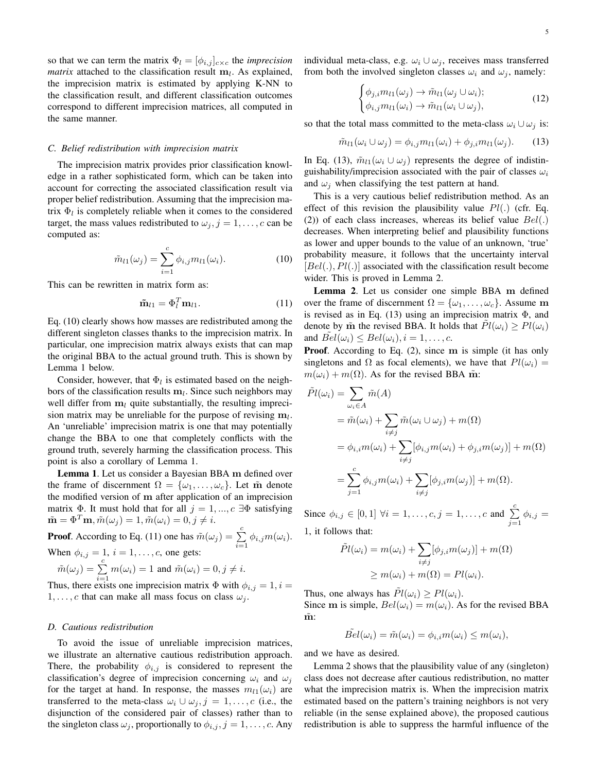so that we can term the matrix  $\Phi_l = [\phi_{i,j}]_{c \times c}$  the *imprecision matrix* attached to the classification result **m***<sup>l</sup>* . As explained, the imprecision matrix is estimated by applying K-NN to the classification result, and different classification outcomes correspond to different imprecision matrices, all computed in the same manner.

## *C. Belief redistribution with imprecision matrix*

The imprecision matrix provides prior classification knowledge in a rather sophisticated form, which can be taken into account for correcting the associated classification result via proper belief redistribution. Assuming that the imprecision matrix  $\Phi_l$  is completely reliable when it comes to the considered target, the mass values redistributed to  $\omega_j$ ,  $j = 1, \ldots, c$  can be computed as:

$$
\tilde{m}_{l1}(\omega_j) = \sum_{i=1}^{c} \phi_{i,j} m_{l1}(\omega_i).
$$
 (10)

This can be rewritten in matrix form as:

$$
\tilde{\mathbf{m}}_{l1} = \Phi_l^T \mathbf{m}_{l1}.
$$
 (11)

Eq. (10) clearly shows how masses are redistributed among the different singleton classes thanks to the imprecision matrix. In particular, one imprecision matrix always exists that can map the original BBA to the actual ground truth. This is shown by Lemma 1 below.

Consider, however, that  $\Phi_l$  is estimated based on the neighbors of the classification results **m***<sup>l</sup>* . Since such neighbors may well differ from  $\mathbf{m}_l$  quite substantially, the resulting imprecision matrix may be unreliable for the purpose of revising **m***<sup>l</sup>* . An 'unreliable' imprecision matrix is one that may potentially change the BBA to one that completely conflicts with the ground truth, severely harming the classification process. This point is also a corollary of Lemma 1.

Lemma 1. Let us consider a Bayesian BBA **m** defined over the frame of discernment  $\Omega = {\omega_1, \ldots, \omega_c}$ . Let m denote the modified version of **m** after application of an imprecision matrix  $\Phi$ . It must hold that for all  $j = 1, ..., c$   $\exists \Phi$  satisfying  $\tilde{\mathbf{m}} = \Phi^T \mathbf{m}, \tilde{m}(\omega_j) = 1, \tilde{m}(\omega_i) = 0, j \neq i.$ 

**Proof.** According to Eq. (11) one has  $\tilde{m}(\omega_j) = \sum_{i=1}^{c} \phi_{i,j} m(\omega_i)$ . When  $\phi_{i,j} = 1, i = 1, ..., c$ , one gets:

$$
\tilde{m}(\omega_j) = \sum_{i=1}^c m(\omega_i) = 1 \text{ and } \tilde{m}(\omega_i) = 0, j \neq i.
$$

Thus, there exists one imprecision matrix  $\Phi$  with  $\phi_{i,j} = 1, i =$ 1, ..., c that can make all mass focus on class  $\omega_j$ .

#### *D. Cautious redistribution*

To avoid the issue of unreliable imprecision matrices, we illustrate an alternative cautious redistribution approach. There, the probability  $\phi_{i,j}$  is considered to represent the classification's degree of imprecision concerning  $\omega_i$  and  $\omega_j$ for the target at hand. In response, the masses  $m_l_1(\omega_i)$  are transferred to the meta-class  $\omega_i \cup \omega_j$ ,  $j = 1, \ldots, c$  (i.e., the disjunction of the considered pair of classes) rather than to the singleton class  $\omega_j$ , proportionally to  $\phi_{i,j}$ ,  $j = 1, \ldots, c$ . Any individual meta-class, e.g.  $\omega_i \cup \omega_j$ , receives mass transferred from both the involved singleton classes  $\omega_i$  and  $\omega_j$ , namely:

$$
\begin{cases}\n\phi_{j,i}m_{l1}(\omega_j) \to \tilde{m}_{l1}(\omega_j \cup \omega_i); \\
\phi_{i,j}m_{l1}(\omega_i) \to \tilde{m}_{l1}(\omega_i \cup \omega_j),\n\end{cases}
$$
\n(12)

so that the total mass committed to the meta-class  $\omega_i \cup \omega_j$  is:

$$
\tilde{m}_{l1}(\omega_i \cup \omega_j) = \phi_{i,j} m_{l1}(\omega_i) + \phi_{j,i} m_{l1}(\omega_j). \tag{13}
$$

In Eq. (13),  $\tilde{m}_{l1}(\omega_i \cup \omega_j)$  represents the degree of indistinguishability/imprecision associated with the pair of classes *ω<sup>i</sup>* and  $\omega_j$  when classifying the test pattern at hand.

This is a very cautious belief redistribution method. As an effect of this revision the plausibility value *Pl*(*.*) (cfr. Eq. (2)) of each class increases, whereas its belief value *Bel*(*.*) decreases. When interpreting belief and plausibility functions as lower and upper bounds to the value of an unknown, 'true' probability measure, it follows that the uncertainty interval [*Bel*(*.*)*, Pl*(*.*)] associated with the classification result become wider. This is proved in Lemma 2.

Lemma 2. Let us consider one simple BBA **m** defined over the frame of discernment  $\Omega = {\omega_1, \dots, \omega_c}$ . Assume m is revised as in Eq. (13) using an imprecision matrix  $\Phi$ , and denote by  $\tilde{m}$  the revised BBA. It holds that  $\tilde{Pl}(\omega_i) \geq Pl(\omega_i)$ and  $Bel(\omega_i) \leq Bel(\omega_i), i = 1, \ldots, c$ .

Proof. According to Eq. (2), since **m** is simple (it has only singletons and  $\Omega$  as focal elements), we have that  $Pl(\omega_i)$  =  $m(\omega_i) + m(\Omega)$ . As for the revised BBA m̃.

$$
\tilde{Pl}(\omega_i) = \sum_{\omega_i \in A} \tilde{m}(A)
$$
\n
$$
= \tilde{m}(\omega_i) + \sum_{i \neq j} \tilde{m}(\omega_i \cup \omega_j) + m(\Omega)
$$
\n
$$
= \phi_{i,i} m(\omega_i) + \sum_{i \neq j} [\phi_{i,j} m(\omega_i) + \phi_{j,i} m(\omega_j)] + m(\Omega)
$$
\n
$$
= \sum_{j=1}^c \phi_{i,j} m(\omega_i) + \sum_{i \neq j} [\phi_{j,i} m(\omega_j)] + m(\Omega).
$$

Since  $\phi_{i,j} \in [0,1]$   $\forall i = 1, ..., c, j = 1, ..., c$  and  $\sum_{j=1}^{c} \phi_{i,j} =$ 1, it follows that:

$$
\tilde{Pl}(\omega_i) = m(\omega_i) + \sum_{i \neq j} [\phi_{j,i} m(\omega_j)] + m(\Omega)
$$

$$
\geq m(\omega_i) + m(\Omega) = Pl(\omega_i).
$$

Thus, one always has  $\tilde{Pl}(\omega_i) \geq Pl(\omega_i)$ .

Since **m** is simple,  $Bel(\omega_i) = m(\omega_i)$ . As for the revised BBA  $\tilde{\mathbf{m}}$ 

$$
\tilde{Bel}(\omega_i) = \tilde{m}(\omega_i) = \phi_{i,i} m(\omega_i) \le m(\omega_i),
$$

and we have as desired.

Lemma 2 shows that the plausibility value of any (singleton) class does not decrease after cautious redistribution, no matter what the imprecision matrix is. When the imprecision matrix estimated based on the pattern's training neighbors is not very reliable (in the sense explained above), the proposed cautious redistribution is able to suppress the harmful influence of the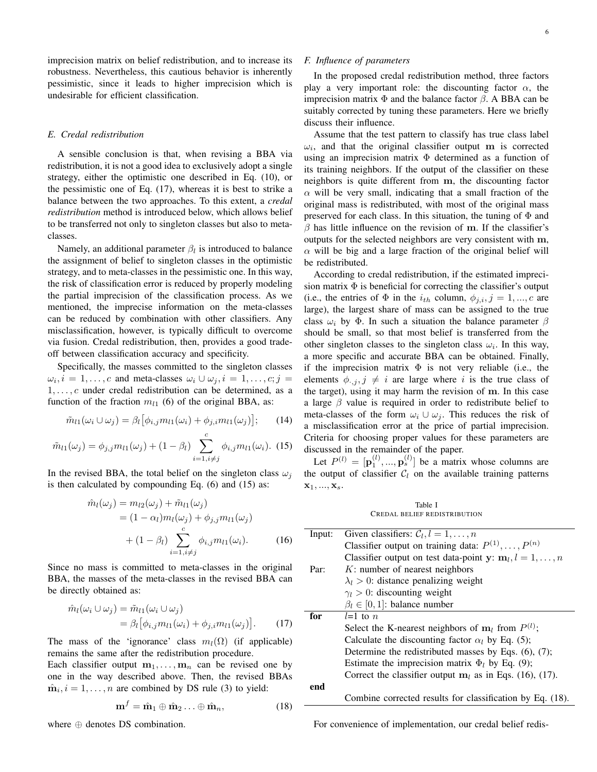imprecision matrix on belief redistribution, and to increase its robustness. Nevertheless, this cautious behavior is inherently pessimistic, since it leads to higher imprecision which is undesirable for efficient classification.

## *E. Credal redistribution*

A sensible conclusion is that, when revising a BBA via redistribution, it is not a good idea to exclusively adopt a single strategy, either the optimistic one described in Eq. (10), or the pessimistic one of Eq. (17), whereas it is best to strike a balance between the two approaches. To this extent, a *credal redistribution* method is introduced below, which allows belief to be transferred not only to singleton classes but also to metaclasses.

Namely, an additional parameter *β<sup>l</sup>* is introduced to balance the assignment of belief to singleton classes in the optimistic strategy, and to meta-classes in the pessimistic one. In this way, the risk of classification error is reduced by properly modeling the partial imprecision of the classification process. As we mentioned, the imprecise information on the meta-classes can be reduced by combination with other classifiers. Any misclassification, however, is typically difficult to overcome via fusion. Credal redistribution, then, provides a good tradeoff between classification accuracy and specificity.

Specifically, the masses committed to the singleton classes  $\omega_i, i = 1, \ldots, c$  and meta-classes  $\omega_i \cup \omega_j, i = 1, \ldots, c; j = 1$ 1*, . . . , c* under credal redistribution can be determined, as a function of the fraction  $m<sub>l1</sub>$  (6) of the original BBA, as:

$$
\tilde{m}_{l1}(\omega_i \cup \omega_j) = \beta_l [\phi_{i,j} m_{l1}(\omega_i) + \phi_{j,i} m_{l1}(\omega_j)]; \qquad (14)
$$

$$
\tilde{m}_{l1}(\omega_j) = \phi_{j,j} m_{l1}(\omega_j) + (1 - \beta_l) \sum_{i=1, i \neq j}^{c} \phi_{i,j} m_{l1}(\omega_i). \tag{15}
$$

In the revised BBA, the total belief on the singleton class  $\omega_i$ is then calculated by compounding Eq. (6) and (15) as:

$$
\hat{m}_l(\omega_j) = m_{l2}(\omega_j) + \tilde{m}_{l1}(\omega_j)
$$
  
=  $(1 - \alpha_l)m_l(\omega_j) + \phi_{j,j}m_{l1}(\omega_j)$   
+  $(1 - \beta_l) \sum_{i=1, i \neq j}^{c} \phi_{i,j}m_{l1}(\omega_i)$ . (16)

Since no mass is committed to meta-classes in the original BBA, the masses of the meta-classes in the revised BBA can be directly obtained as:

$$
\hat{m}_l(\omega_i \cup \omega_j) = \tilde{m}_{l1}(\omega_i \cup \omega_j)
$$
  
=  $\beta_l [\phi_{i,j} m_{l1}(\omega_i) + \phi_{j,i} m_{l1}(\omega_j)].$  (17)

The mass of the 'ignorance' class  $m_l(\Omega)$  (if applicable) remains the same after the redistribution procedure.

Each classifier output  $m_1, \ldots, m_n$  can be revised one by one in the way described above. Then, the revised BBAs  $\hat{\mathbf{m}}_i$ ,  $i = 1, \dots, n$  are combined by DS rule (3) to yield:

$$
\mathbf{m}^f = \hat{\mathbf{m}}_1 \oplus \hat{\mathbf{m}}_2 \dots \oplus \hat{\mathbf{m}}_n, \tag{18}
$$

where *⊕* denotes DS combination.

## *F. Influence of parameters*

In the proposed credal redistribution method, three factors play a very important role: the discounting factor  $\alpha$ , the imprecision matrix Φ and the balance factor *β*. A BBA can be suitably corrected by tuning these parameters. Here we briefly discuss their influence.

Assume that the test pattern to classify has true class label  $\omega_i$ , and that the original classifier output **m** is corrected using an imprecision matrix Φ determined as a function of its training neighbors. If the output of the classifier on these neighbors is quite different from **m**, the discounting factor  $\alpha$  will be very small, indicating that a small fraction of the original mass is redistributed, with most of the original mass preserved for each class. In this situation, the tuning of  $\Phi$  and *β* has little influence on the revision of **m**. If the classifier's outputs for the selected neighbors are very consistent with **m**,  $\alpha$  will be big and a large fraction of the original belief will be redistributed.

According to credal redistribution, if the estimated imprecision matrix  $\Phi$  is beneficial for correcting the classifier's output (i.e., the entries of  $\Phi$  in the  $i_{th}$  column,  $\phi_{j,i}, j = 1, ..., c$  are large), the largest share of mass can be assigned to the true class  $\omega_i$  by  $\Phi$ . In such a situation the balance parameter  $\beta$ should be small, so that most belief is transferred from the other singleton classes to the singleton class  $\omega_i$ . In this way, a more specific and accurate BBA can be obtained. Finally, if the imprecision matrix  $\Phi$  is not very reliable (i.e., the elements  $\phi_{\cdot,j}, j \neq i$  are large where *i* is the true class of the target), using it may harm the revision of **m**. In this case a large  $\beta$  value is required in order to redistribute belief to meta-classes of the form  $\omega_i \cup \omega_j$ . This reduces the risk of a misclassification error at the price of partial imprecision. Criteria for choosing proper values for these parameters are discussed in the remainder of the paper.

Let  $P^{(l)} = [\mathbf{p}_1^{(l)}, ..., \mathbf{p}_s^{(l)}]$  be a matrix whose columns are the output of classifier  $C_l$  on the available training patterns **x**1*, ...,* **x***s*.

Table I CREDAL BELIEF REDISTRIBUTION

| Input: | Given classifiers: $C_l, l = 1, \ldots, n$                     |
|--------|----------------------------------------------------------------|
|        | Classifier output on training data: $P^{(1)}, \ldots, P^{(n)}$ |
|        | Classifier output on test data-point y: $m_l$ , $l = 1, , n$   |
| Par:   | $K$ : number of nearest neighbors                              |
|        | $\lambda_l > 0$ : distance penalizing weight                   |
|        | $\gamma_l > 0$ : discounting weight                            |
|        | $\beta_l \in [0, 1]$ : balance number                          |
| for    | $l=1$ to n                                                     |
|        | Select the K-nearest neighbors of $m_l$ from $P^{(l)}$ ;       |
|        | Calculate the discounting factor $\alpha_l$ by Eq. (5);        |
|        | Determine the redistributed masses by Eqs. $(6)$ , $(7)$ ;     |
|        | Estimate the imprecision matrix $\Phi_l$ by Eq. (9);           |
|        | Correct the classifier output $m_l$ as in Eqs. (16), (17).     |
| end    |                                                                |
|        | Combine corrected results for classification by Eq. (18).      |

For convenience of implementation, our credal belief redis-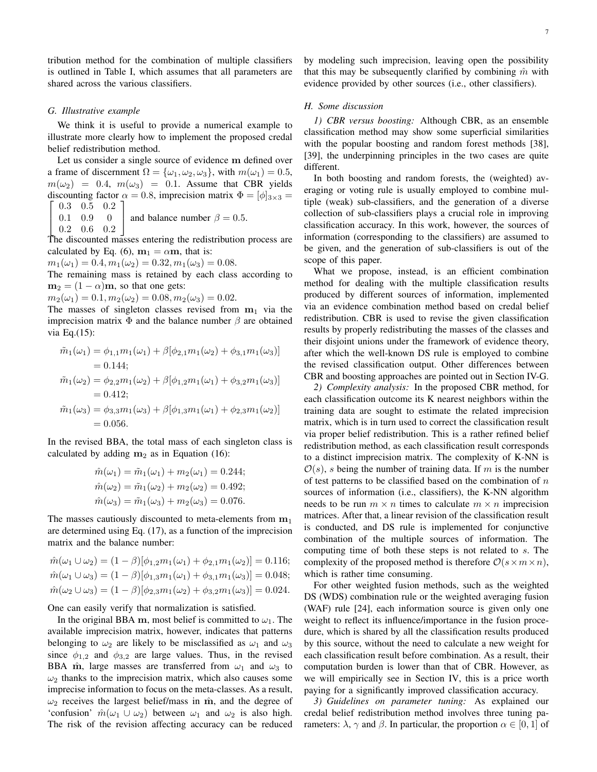tribution method for the combination of multiple classifiers is outlined in Table I, which assumes that all parameters are shared across the various classifiers.

## *G. Illustrative example*

We think it is useful to provide a numerical example to illustrate more clearly how to implement the proposed credal belief redistribution method.

Let us consider a single source of evidence **m** defined over a frame of discernment  $\Omega = {\omega_1, \omega_2, \omega_3}$ , with  $m(\omega_1) = 0.5$ ,  $m(\omega_2) = 0.4$ ,  $m(\omega_3) = 0.1$ . Assume that CBR yields discounting factor  $\alpha = 0.8$ , imprecision matrix  $\Phi = [\phi]_{3 \times 3} =$  $\sqrt{ }$  $0.3 \quad 0.5 \quad 0.2 \quad$ 

$$
1 \quad 0.9 \quad 0 \quad \text{and balance number } \beta = 0.5.
$$

 $\perp$  $0.2 \quad 0.6 \quad 0.2$ 

 $0<sup>1</sup>$ 

The discounted masses entering the redistribution process are calculated by Eq. (6),  $m_1 = \alpha m$ , that is:

 $m_1(\omega_1) = 0.4, m_1(\omega_2) = 0.32, m_1(\omega_3) = 0.08.$ 

The remaining mass is retained by each class according to **, so that one gets:** 

 $m_2(\omega_1) = 0.1, m_2(\omega_2) = 0.08, m_2(\omega_3) = 0.02.$ 

The masses of singleton classes revised from  $m_1$  via the imprecision matrix Φ and the balance number *β* are obtained via Eq.(15):

$$
\tilde{m}_1(\omega_1) = \phi_{1,1}m_1(\omega_1) + \beta[\phi_{2,1}m_1(\omega_2) + \phi_{3,1}m_1(\omega_3)]
$$
  
= 0.144;  

$$
\tilde{m}_1(\omega_2) = \phi_{2,2}m_1(\omega_2) + \beta[\phi_{1,2}m_1(\omega_1) + \phi_{3,2}m_1(\omega_3)]
$$
  
= 0.412;  

$$
\tilde{m}_1(\omega_3) = \phi_{3,3}m_1(\omega_3) + \beta[\phi_{1,3}m_1(\omega_1) + \phi_{2,3}m_1(\omega_2)]
$$
  
= 0.056.

In the revised BBA, the total mass of each singleton class is calculated by adding  $m_2$  as in Equation (16):

$$
\hat{m}(\omega_1) = \tilde{m}_1(\omega_1) + m_2(\omega_1) = 0.244; \n\hat{m}(\omega_2) = \tilde{m}_1(\omega_2) + m_2(\omega_2) = 0.492; \n\hat{m}(\omega_3) = \tilde{m}_1(\omega_3) + m_2(\omega_3) = 0.076.
$$

The masses cautiously discounted to meta-elements from **m**<sup>1</sup> are determined using Eq. (17), as a function of the imprecision matrix and the balance number:

$$
\hat{m}(\omega_1 \cup \omega_2) = (1 - \beta)[\phi_{1,2}m_1(\omega_1) + \phi_{2,1}m_1(\omega_2)] = 0.116;
$$
  

$$
\hat{m}(\omega_1 \cup \omega_3) = (1 - \beta)[\phi_{1,3}m_1(\omega_1) + \phi_{3,1}m_1(\omega_3)] = 0.048;
$$
  

$$
\hat{m}(\omega_2 \cup \omega_3) = (1 - \beta)[\phi_{2,3}m_1(\omega_2) + \phi_{3,2}m_1(\omega_3)] = 0.024.
$$

One can easily verify that normalization is satisfied.

In the original BBA **m**, most belief is committed to  $\omega_1$ . The available imprecision matrix, however, indicates that patterns belonging to  $\omega_2$  are likely to be misclassified as  $\omega_1$  and  $\omega_3$ since  $\phi_{1,2}$  and  $\phi_{3,2}$  are large values. Thus, in the revised BBA m<sup> $\hat{m}$ </sup>, large masses are transferred from  $\omega_1$  and  $\omega_3$  to  $\omega_2$  thanks to the imprecision matrix, which also causes some imprecise information to focus on the meta-classes. As a result,  $\omega_2$  receives the largest belief/mass in  $\hat{\mathbf{m}}$ , and the degree of 'confusion'  $\hat{m}(\omega_1 \cup \omega_2)$  between  $\omega_1$  and  $\omega_2$  is also high. The risk of the revision affecting accuracy can be reduced by modeling such imprecision, leaving open the possibility that this may be subsequently clarified by combining  $\hat{m}$  with evidence provided by other sources (i.e., other classifiers).

## *H. Some discussion*

*1) CBR versus boosting:* Although CBR, as an ensemble classification method may show some superficial similarities with the popular boosting and random forest methods [38], [39], the underpinning principles in the two cases are quite different.

In both boosting and random forests, the (weighted) averaging or voting rule is usually employed to combine multiple (weak) sub-classifiers, and the generation of a diverse collection of sub-classifiers plays a crucial role in improving classification accuracy. In this work, however, the sources of information (corresponding to the classifiers) are assumed to be given, and the generation of sub-classifiers is out of the scope of this paper.

What we propose, instead, is an efficient combination method for dealing with the multiple classification results produced by different sources of information, implemented via an evidence combination method based on credal belief redistribution. CBR is used to revise the given classification results by properly redistributing the masses of the classes and their disjoint unions under the framework of evidence theory, after which the well-known DS rule is employed to combine the revised classification output. Other differences between CBR and boosting approaches are pointed out in Section IV-G.

*2) Complexity analysis:* In the proposed CBR method, for each classification outcome its K nearest neighbors within the training data are sought to estimate the related imprecision matrix, which is in turn used to correct the classification result via proper belief redistribution. This is a rather refined belief redistribution method, as each classification result corresponds to a distinct imprecision matrix. The complexity of K-NN is  $O(s)$ , *s* being the number of training data. If *m* is the number of test patterns to be classified based on the combination of *n* sources of information (i.e., classifiers), the K-NN algorithm needs to be run  $m \times n$  times to calculate  $m \times n$  imprecision matrices. After that, a linear revision of the classification result is conducted, and DS rule is implemented for conjunctive combination of the multiple sources of information. The computing time of both these steps is not related to *s*. The complexity of the proposed method is therefore  $\mathcal{O}(s \times m \times n)$ , which is rather time consuming.

For other weighted fusion methods, such as the weighted DS (WDS) combination rule or the weighted averaging fusion (WAF) rule [24], each information source is given only one weight to reflect its influence/importance in the fusion procedure, which is shared by all the classification results produced by this source, without the need to calculate a new weight for each classification result before combination. As a result, their computation burden is lower than that of CBR. However, as we will empirically see in Section IV, this is a price worth paying for a significantly improved classification accuracy.

*3) Guidelines on parameter tuning:* As explained our credal belief redistribution method involves three tuning parameters:  $\lambda$ ,  $\gamma$  and  $\beta$ . In particular, the proportion  $\alpha \in [0, 1]$  of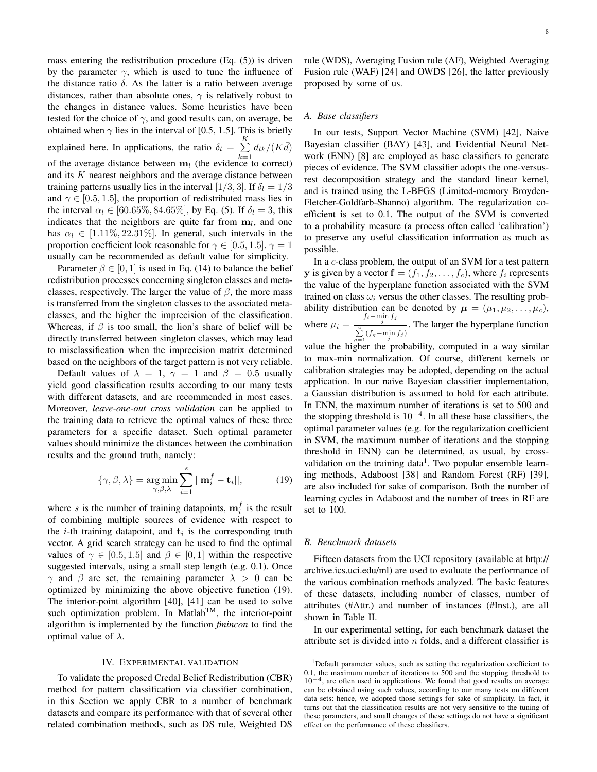mass entering the redistribution procedure (Eq. (5)) is driven by the parameter  $\gamma$ , which is used to tune the influence of the distance ratio  $\delta$ . As the latter is a ratio between average distances, rather than absolute ones,  $\gamma$  is relatively robust to the changes in distance values. Some heuristics have been tested for the choice of  $\gamma$ , and good results can, on average, be obtained when  $\gamma$  lies in the interval of [0.5, 1.5]. This is briefly explained here. In applications, the ratio  $\delta_l = \sum_{l=1}^{K}$  $\sum_{k=1}^n d_{lk}/(K\bar{d})$ of the average distance between  $\mathbf{m}_l$  (the evidence to correct) and its *K* nearest neighbors and the average distance between training patterns usually lies in the interval [ $1/3$ *,* 3]. If  $\delta_l = 1/3$ and  $\gamma \in [0.5, 1.5]$ , the proportion of redistributed mass lies in the interval  $\alpha_l \in [60.65\%, 84.65\%]$ , by Eq. (5). If  $\delta_l = 3$ , this indicates that the neighbors are quite far from  $m_l$ , and one has  $\alpha_l \in [1.11\%, 22.31\%]$ . In general, such intervals in the proportion coefficient look reasonable for  $\gamma \in [0.5, 1.5]$ .  $\gamma = 1$ usually can be recommended as default value for simplicity.

Parameter  $\beta \in [0, 1]$  is used in Eq. (14) to balance the belief redistribution processes concerning singleton classes and metaclasses, respectively. The larger the value of  $\beta$ , the more mass is transferred from the singleton classes to the associated metaclasses, and the higher the imprecision of the classification. Whereas, if  $\beta$  is too small, the lion's share of belief will be directly transferred between singleton classes, which may lead to misclassification when the imprecision matrix determined based on the neighbors of the target pattern is not very reliable.

Default values of  $\lambda = 1$ ,  $\gamma = 1$  and  $\beta = 0.5$  usually yield good classification results according to our many tests with different datasets, and are recommended in most cases. Moreover, *leave-one-out cross validation* can be applied to the training data to retrieve the optimal values of these three parameters for a specific dataset. Such optimal parameter values should minimize the distances between the combination results and the ground truth, namely:

$$
\{\gamma, \beta, \lambda\} = \underset{\gamma, \beta, \lambda}{\arg \min} \sum_{i=1}^{s} ||\mathbf{m}_i^f - \mathbf{t}_i||, \tag{19}
$$

where *s* is the number of training datapoints,  $\mathbf{m}_i^f$  is the result of combining multiple sources of evidence with respect to the  $i$ -th training datapoint, and  $t_i$  is the corresponding truth vector. A grid search strategy can be used to find the optimal values of  $\gamma \in [0.5, 1.5]$  and  $\beta \in [0, 1]$  within the respective suggested intervals, using a small step length (e.g. 0.1). Once *γ* and *β* are set, the remaining parameter  $\lambda > 0$  can be optimized by minimizing the above objective function (19). The interior-point algorithm [40], [41] can be used to solve such optimization problem. In Matlab<sup>TM</sup>, the interior-point algorithm is implemented by the function *fmincon* to find the optimal value of *λ*.

#### IV. EXPERIMENTAL VALIDATION

To validate the proposed Credal Belief Redistribution (CBR) method for pattern classification via classifier combination, in this Section we apply CBR to a number of benchmark datasets and compare its performance with that of several other related combination methods, such as DS rule, Weighted DS

rule (WDS), Averaging Fusion rule (AF), Weighted Averaging Fusion rule (WAF) [24] and OWDS [26], the latter previously proposed by some of us.

## *A. Base classifiers*

In our tests, Support Vector Machine (SVM) [42], Naive Bayesian classifier (BAY) [43], and Evidential Neural Network (ENN) [8] are employed as base classifiers to generate pieces of evidence. The SVM classifier adopts the one-versusrest decomposition strategy and the standard linear kernel, and is trained using the L-BFGS (Limited-memory Broyden-Fletcher-Goldfarb-Shanno) algorithm. The regularization coefficient is set to 0.1. The output of the SVM is converted to a probability measure (a process often called 'calibration') to preserve any useful classification information as much as possible.

In a *c*-class problem, the output of an SVM for a test pattern **y** is given by a vector  $f = (f_1, f_2, \ldots, f_c)$ , where  $f_i$  represents the value of the hyperplane function associated with the SVM trained on class  $\omega_i$  versus the other classes. The resulting probability distribution can be denoted by  $\mu = (\mu_1, \mu_2, \dots, \mu_c)$ , where  $\mu_i = \frac{f_i - \min_j f_j}{g}$  $\frac{f}{\sum_{g=1}^{c} (f_g - \min_j f_j)}$ . The larger the hyperplane function

value the higher the probability, computed in a way similar to max-min normalization. Of course, different kernels or calibration strategies may be adopted, depending on the actual application. In our naive Bayesian classifier implementation, a Gaussian distribution is assumed to hold for each attribute. In ENN, the maximum number of iterations is set to 500 and the stopping threshold is 10*−*<sup>4</sup> . In all these base classifiers, the optimal parameter values (e.g. for the regularization coefficient in SVM, the maximum number of iterations and the stopping threshold in ENN) can be determined, as usual, by crossvalidation on the training data<sup>1</sup>. Two popular ensemble learning methods, Adaboost [38] and Random Forest (RF) [39], are also included for sake of comparison. Both the number of learning cycles in Adaboost and the number of trees in RF are set to 100.

#### *B. Benchmark datasets*

Fifteen datasets from the UCI repository (available at http:// archive.ics.uci.edu/ml) are used to evaluate the performance of the various combination methods analyzed. The basic features of these datasets, including number of classes, number of attributes (#Attr.) and number of instances (#Inst.), are all shown in Table II.

In our experimental setting, for each benchmark dataset the attribute set is divided into *n* folds, and a different classifier is

<sup>&</sup>lt;sup>1</sup>Default parameter values, such as setting the regularization coefficient to 0.1, the maximum number of iterations to 500 and the stopping threshold to 10*−*<sup>4</sup> , are often used in applications. We found that good results on average can be obtained using such values, according to our many tests on different data sets: hence, we adopted those settings for sake of simplicity. In fact, it turns out that the classification results are not very sensitive to the tuning of these parameters, and small changes of these settings do not have a significant effect on the performance of these classifiers.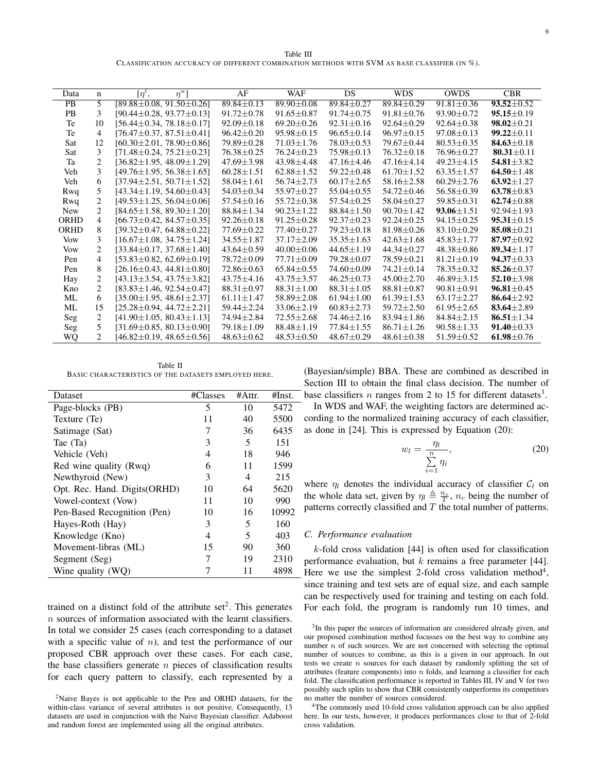Table III CLASSIFICATION ACCURACY OF DIFFERENT COMBINATION METHODS WITH SVM AS BASE CLASSIFIER (IN  $\%$ ).

| Data            | $\mathbf n$    | $\eta^u$ ]<br>$[\eta^l,$           | AF               | <b>WAF</b>       | DS               | <b>WDS</b>       | <b>OWDS</b>      | <b>CBR</b>       |
|-----------------|----------------|------------------------------------|------------------|------------------|------------------|------------------|------------------|------------------|
| $\overline{PB}$ | $\overline{5}$ | $[89.88 \pm 0.08, 91.50 \pm 0.26]$ | $89.84 \pm 0.13$ | $89.90 \pm 0.08$ | 89.84±0.27       | $89.84 \pm 0.29$ | $91.81 \pm 0.36$ | $93.52 \pm 0.52$ |
| <b>PB</b>       | 3              | $[90.44 \pm 0.28, 93.77 \pm 0.13]$ | $91.72 \pm 0.78$ | $91.65 \pm 0.87$ | $91.74 \pm 0.75$ | $91.81 \pm 0.76$ | $93.90 \pm 0.72$ | $95.15 \pm 0.19$ |
| Te              | 10             | $[56.44 \pm 0.34, 78.18 \pm 0.17]$ | $92.09 \pm 0.18$ | $69.20 \pm 0.26$ | $92.31 \pm 0.16$ | $92.64 \pm 0.29$ | $92.64 \pm 0.38$ | $98.02 \pm 0.21$ |
| Te              | 4              | $[76.47 \pm 0.37, 87.51 \pm 0.41]$ | $96.42 \pm 0.20$ | $95.98 \pm 0.15$ | $96.65 \pm 0.14$ | $96.97 \pm 0.15$ | $97.08 \pm 0.13$ | $99.22 \pm 0.11$ |
| Sat             | 12             | $[60.30 \pm 2.01, 78.90 \pm 0.86]$ | 79.89 ± 0.28     | $71.03 \pm 1.76$ | $78.03 \pm 0.53$ | 79.67 ± 0.44     | $80.53 \pm 0.35$ | 84.63 $\pm$ 0.18 |
| Sat             | 3              | $[71.48 \pm 0.24, 75.21 \pm 0.23]$ | $76.38 \pm 0.25$ | $76.24 \pm 0.23$ | 75.98 ± 0.13     | $76.32 \pm 0.18$ | $76.96 \pm 0.27$ | 80.31 $\pm$ 0.11 |
| Ta              | $\overline{2}$ | $[36.82 \pm 1.95, 48.09 \pm 1.29]$ | $47.69 \pm 3.98$ | $43.98 \pm 4.48$ | $47.16 \pm 4.46$ | $47.16 \pm 4.14$ | $49.23 \pm 4.15$ | $54.81 \pm 3.82$ |
| Veh             | 3              | $[49.76 \pm 1.95, 56.38 \pm 1.65]$ | $60.28 \pm 1.51$ | $62.88 \pm 1.52$ | 59.22±0.48       | $61.70 \pm 1.52$ | $63.35 \pm 1.57$ | 64.50 $\pm$ 1.48 |
| Veh             | 6              | $[37.94 \pm 2.51, 50.71 \pm 1.52]$ | $58.04 \pm 1.61$ | $56.74 \pm 2.73$ | $60.17 \pm 2.65$ | $58.16 \pm 2.58$ | $60.29 \pm 2.76$ | $63.92 \pm 1.27$ |
| Rwq             | 5              | $[43.34 \pm 1.19, 54.60 \pm 0.43]$ | $54.03 \pm 0.34$ | 55.97 ± 0.27     | $55.04 \pm 0.55$ | 54.72±0.46       | $56.58 \pm 0.39$ | $63.78 \pm 0.83$ |
| Rwq             | 2              | $[49.53 \pm 1.25, 56.04 \pm 0.06]$ | $57.54 \pm 0.16$ | $55.72 \pm 0.38$ | $57.54 \pm 0.25$ | $58.04 \pm 0.27$ | $59.85 \pm 0.31$ | $62.74 \pm 0.88$ |
| <b>New</b>      | 2              | $[84.65 \pm 1.58, 89.30 \pm 1.20]$ | $88.84 \pm 1.34$ | $90.23 \pm 1.22$ | $88.84 \pm 1.50$ | $90.70 \pm 1.42$ | $93.06 \pm 1.51$ | $92.94 \pm 1.93$ |
| <b>ORHD</b>     | $\overline{4}$ | $[66.73 \pm 0.42, 84.57 \pm 0.35]$ | $92.26 \pm 0.18$ | $91.25 \pm 0.28$ | $92.37 \pm 0.23$ | $92.24 \pm 0.25$ | $94.15 \pm 0.25$ | $95.31 \pm 0.15$ |
| <b>ORHD</b>     | 8              | $[39.32 \pm 0.47, 64.88 \pm 0.22]$ | $77.69 \pm 0.22$ | $77.40 \pm 0.27$ | $79.23 \pm 0.18$ | $81.98 \pm 0.26$ | $83.10 \pm 0.29$ | $85.08 \pm 0.21$ |
| Vow             | 3              | $[16.67 \pm 1.08, 34.75 \pm 1.24]$ | $34.55 \pm 1.87$ | $37.17 \pm 2.09$ | $35.35 \pm 1.63$ | $42.63 \pm 1.68$ | $45.83 \pm 1.77$ | 87.97 $\pm$ 0.92 |
| Vow             | $\overline{c}$ | $[33.84 \pm 0.17, 37.68 \pm 1.40]$ | $43.64 \pm 0.59$ | $40.00 \pm 0.06$ | $44.65 \pm 1.19$ | $44.34 \pm 0.27$ | $48.38 \pm 0.86$ | 89.34 $\pm$ 1.17 |
| Pen             | $\overline{4}$ | $[53.83 \pm 0.82, 62.69 \pm 0.19]$ | $78.72 \pm 0.09$ | $77.71 \pm 0.09$ | 79.28 ± 0.07     | 78.59±0.21       | $81.21 \pm 0.19$ | $94.37 \pm 0.33$ |
| Pen             | 8              | $[26.16 \pm 0.43, 44.81 \pm 0.80]$ | $72.86 \pm 0.63$ | $65.84 \pm 0.55$ | $74.60 \pm 0.09$ | $74.21 \pm 0.14$ | 78.35±0.32       | 85.26 $\pm$ 0.37 |
| Hay             | 2              | $[43.13 \pm 3.54, 43.75 \pm 3.82]$ | $43.75 \pm 4.16$ | $43.75 \pm 3.57$ | $46.25 \pm 0.73$ | $45.00 \pm 2.70$ | $46.89 \pm 3.15$ | $52.10 \pm 3.98$ |
| Kno             | 2              | $[83.83 \pm 1.46, 92.54 \pm 0.47]$ | $88.31 \pm 0.97$ | $88.31 \pm 1.00$ | $88.31 \pm 1.05$ | $88.81 \pm 0.87$ | $90.81 \pm 0.91$ | $96.81 \pm 0.45$ |
| ML              | 6              | $[35.00 \pm 1.95, 48.61 \pm 2.37]$ | $61.11 \pm 1.47$ | $58.89 \pm 2.08$ | $61.94 \pm 1.00$ | $61.39 \pm 1.53$ | $63.17 \pm 2.27$ | 86.64 $\pm$ 2.92 |
| ML              | 15             | $[25.28 \pm 0.94, 44.72 \pm 2.21]$ | $59.44 \pm 2.24$ | $33.06 \pm 2.19$ | $60.83 \pm 2.73$ | $59.72 \pm 2.50$ | $61.95 \pm 2.65$ | 83.64 $\pm$ 2.89 |
| Seg             | $\overline{2}$ | $[41.90 \pm 1.05, 80.43 \pm 1.13]$ | 74.94±2.84       | $72.55 \pm 2.68$ | $74.46 \pm 2.16$ | $83.94 \pm 1.86$ | $84.84 \pm 2.15$ | 86.51 $\pm$ 1.34 |
| Seg             | 5              | $[31.69 \pm 0.85, 80.13 \pm 0.90]$ | $79.18 \pm 1.09$ | $88.48 \pm 1.19$ | $77.84 \pm 1.55$ | $86.71 \pm 1.26$ | $90.58 \pm 1.33$ | $91.40 \pm 0.33$ |
| <b>WQ</b>       | $\mathfrak{D}$ | $[46.82 \pm 0.19, 48.65 \pm 0.56]$ | $48.63 \pm 0.62$ | $48.53 \pm 0.50$ | $48.67 \pm 0.29$ | $48.61 \pm 0.38$ | $51.59 \pm 0.52$ | $61.98 \pm 0.76$ |
|                 |                |                                    |                  |                  |                  |                  |                  |                  |

Table II BASIC CHARACTERISTICS OF THE DATASETS EMPLOYED HERE.

| Dataset                       | #Classes | #Attr. | #Inst. |
|-------------------------------|----------|--------|--------|
| Page-blocks (PB)              | 5        | 10     | 5472   |
| Texture (Te)                  | 11       | 40     | 5500   |
| Satimage (Sat)                | 7        | 36     | 6435   |
| Tae (Ta)                      | 3        | 5      | 151    |
| Vehicle (Veh)                 | 4        | 18     | 946    |
| Red wine quality (Rwq)        | 6        | 11     | 1599   |
| Newthyroid (New)              | 3        | 4      | 215    |
| Opt. Rec. Hand. Digits (ORHD) | 10       | 64     | 5620   |
| Vowel-context (Vow)           | 11       | 10     | 990    |
| Pen-Based Recognition (Pen)   | 10       | 16     | 10992  |
| Hayes-Roth (Hay)              | 3        | 5      | 160    |
| Knowledge (Kno)               | 4        | 5      | 403    |
| Movement-libras (ML)          | 15       | 90     | 360    |
| Segment (Seg)                 | 7        | 19     | 2310   |
| Wine quality (WQ)             |          | 11     | 4898   |

trained on a distinct fold of the attribute  $set<sup>2</sup>$ . This generates *n* sources of information associated with the learnt classifiers. In total we consider 25 cases (each corresponding to a dataset with a specific value of *n*), and test the performance of our proposed CBR approach over these cases. For each case, the base classifiers generate *n* pieces of classification results for each query pattern to classify, each represented by a (Bayesian/simple) BBA. These are combined as described in Section III to obtain the final class decision. The number of base classifiers  $n$  ranges from 2 to 15 for different datasets<sup>3</sup>.

In WDS and WAF, the weighting factors are determined according to the normalized training accuracy of each classifier, as done in [24]. This is expressed by Equation (20):

$$
w_l = \frac{\eta_l}{\sum\limits_{i=1}^n \eta_i},\tag{20}
$$

where  $\eta_l$  denotes the individual accuracy of classifier  $C_l$  on the whole data set, given by  $\eta_l \triangleq \frac{n_c}{T}$ ,  $n_c$  being the number of patterns correctly classified and *T* the total number of patterns.

## *C. Performance evaluation*

*k*-fold cross validation [44] is often used for classification performance evaluation, but *k* remains a free parameter [44]. Here we use the simplest 2-fold cross validation method<sup>4</sup>, since training and test sets are of equal size, and each sample can be respectively used for training and testing on each fold. For each fold, the program is randomly run 10 times, and

<sup>3</sup>In this paper the sources of information are considered already given, and our proposed combination method focusses on the best way to combine any number *n* of such sources. We are not concerned with selecting the optimal number of sources to combine, as this is a given in our approach. In out tests we create *n* sources for each dataset by randomly splitting the set of attributes (feature components) into *n* folds, and learning a classifier for each fold. The classification performance is reported in Tables III, IV and V for two possibly such splits to show that CBR consistently outperforms its competitors no matter the number of sources considered.

<sup>4</sup>The commonly used 10-fold cross validation approach can be also applied here. In our tests, however, it produces performances close to that of 2-fold cross validation.

<sup>2</sup>Naive Bayes is not applicable to the Pen and ORHD datasets, for the within-class variance of several attributes is not positive. Consequently, 13 datasets are used in conjunction with the Naive Bayesian classifier. Adaboost and random forest are implemented using all the original attributes.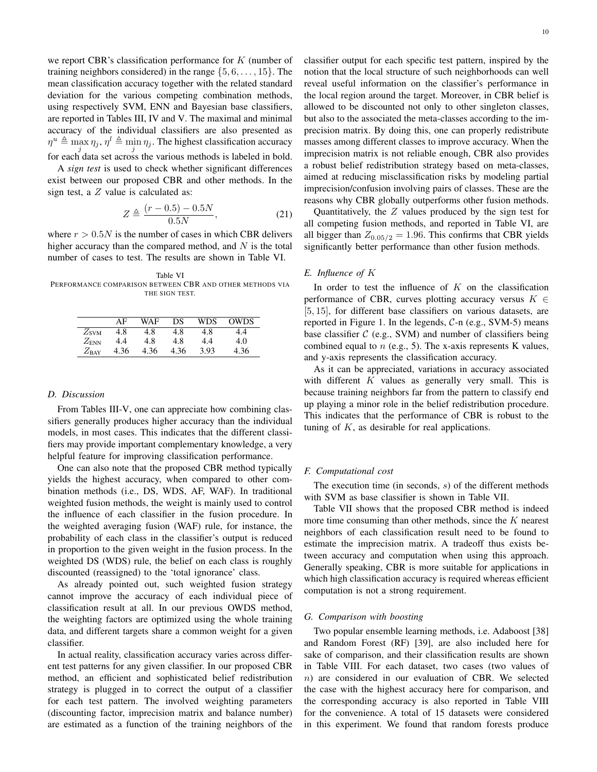we report CBR's classification performance for *K* (number of training neighbors considered) in the range *{*5*,* 6*, . . . ,* 15*}*. The mean classification accuracy together with the related standard deviation for the various competing combination methods, using respectively SVM, ENN and Bayesian base classifiers, are reported in Tables III, IV and V. The maximal and minimal accuracy of the individual classifiers are also presented as  $\eta^u \triangleq \max \eta_j$ ,  $\eta^l \triangleq \min \eta_j$ . The highest classification accuracy for each data set across the various methods is labeled in bold.

A *sign test* is used to check whether significant differences exist between our proposed CBR and other methods. In the sign test, a *Z* value is calculated as:

$$
Z \triangleq \frac{(r - 0.5) - 0.5N}{0.5N},
$$
\n(21)

where  $r > 0.5N$  is the number of cases in which CBR delivers higher accuracy than the compared method, and *N* is the total number of cases to test. The results are shown in Table VI.

Table VI PERFORMANCE COMPARISON BETWEEN CBR AND OTHER METHODS VIA THE SIGN TEST.

|                  | ΔF   | WAF  | DS   | WDS  | OWDS |
|------------------|------|------|------|------|------|
| $Z_{\text{SVM}}$ | 4.8  | 4.8  | 4.8  | 4.8  |      |
| $Z_{\rm{ENN}}$   | 4.4  | 4.8  | 4.8  | 4.4  | 4.0  |
| $Z_{\rm BAY}$    | 4.36 | 4.36 | 4.36 | 3.93 | 4.36 |

#### *D. Discussion*

From Tables III-V, one can appreciate how combining classifiers generally produces higher accuracy than the individual models, in most cases. This indicates that the different classifiers may provide important complementary knowledge, a very helpful feature for improving classification performance.

One can also note that the proposed CBR method typically yields the highest accuracy, when compared to other combination methods (i.e., DS, WDS, AF, WAF). In traditional weighted fusion methods, the weight is mainly used to control the influence of each classifier in the fusion procedure. In the weighted averaging fusion (WAF) rule, for instance, the probability of each class in the classifier's output is reduced in proportion to the given weight in the fusion process. In the weighted DS (WDS) rule, the belief on each class is roughly discounted (reassigned) to the 'total ignorance' class.

As already pointed out, such weighted fusion strategy cannot improve the accuracy of each individual piece of classification result at all. In our previous OWDS method, the weighting factors are optimized using the whole training data, and different targets share a common weight for a given classifier.

In actual reality, classification accuracy varies across different test patterns for any given classifier. In our proposed CBR method, an efficient and sophisticated belief redistribution strategy is plugged in to correct the output of a classifier for each test pattern. The involved weighting parameters (discounting factor, imprecision matrix and balance number) are estimated as a function of the training neighbors of the

classifier output for each specific test pattern, inspired by the notion that the local structure of such neighborhoods can well reveal useful information on the classifier's performance in the local region around the target. Moreover, in CBR belief is allowed to be discounted not only to other singleton classes, but also to the associated the meta-classes according to the imprecision matrix. By doing this, one can properly redistribute masses among different classes to improve accuracy. When the imprecision matrix is not reliable enough, CBR also provides a robust belief redistribution strategy based on meta-classes, aimed at reducing misclassification risks by modeling partial imprecision/confusion involving pairs of classes. These are the reasons why CBR globally outperforms other fusion methods.

Quantitatively, the *Z* values produced by the sign test for all competing fusion methods, and reported in Table VI, are all bigger than  $Z_{0.05/2} = 1.96$ . This confirms that CBR yields significantly better performance than other fusion methods.

## *E. Influence of K*

In order to test the influence of *K* on the classification performance of CBR, curves plotting accuracy versus *K ∈* [5*,* 15], for different base classifiers on various datasets, are reported in Figure 1. In the legends, *C*-n (e.g., SVM-5) means base classifier *C* (e.g., SVM) and number of classifiers being combined equal to *n* (e.g., 5). The x-axis represents K values, and y-axis represents the classification accuracy.

As it can be appreciated, variations in accuracy associated with different *K* values as generally very small. This is because training neighbors far from the pattern to classify end up playing a minor role in the belief redistribution procedure. This indicates that the performance of CBR is robust to the tuning of  $K$ , as desirable for real applications.

## *F. Computational cost*

The execution time (in seconds, *s*) of the different methods with SVM as base classifier is shown in Table VII.

Table VII shows that the proposed CBR method is indeed more time consuming than other methods, since the *K* nearest neighbors of each classification result need to be found to estimate the imprecision matrix. A tradeoff thus exists between accuracy and computation when using this approach. Generally speaking, CBR is more suitable for applications in which high classification accuracy is required whereas efficient computation is not a strong requirement.

## *G. Comparison with boosting*

Two popular ensemble learning methods, i.e. Adaboost [38] and Random Forest (RF) [39], are also included here for sake of comparison, and their classification results are shown in Table VIII. For each dataset, two cases (two values of *n*) are considered in our evaluation of CBR. We selected the case with the highest accuracy here for comparison, and the corresponding accuracy is also reported in Table VIII for the convenience. A total of 15 datasets were considered in this experiment. We found that random forests produce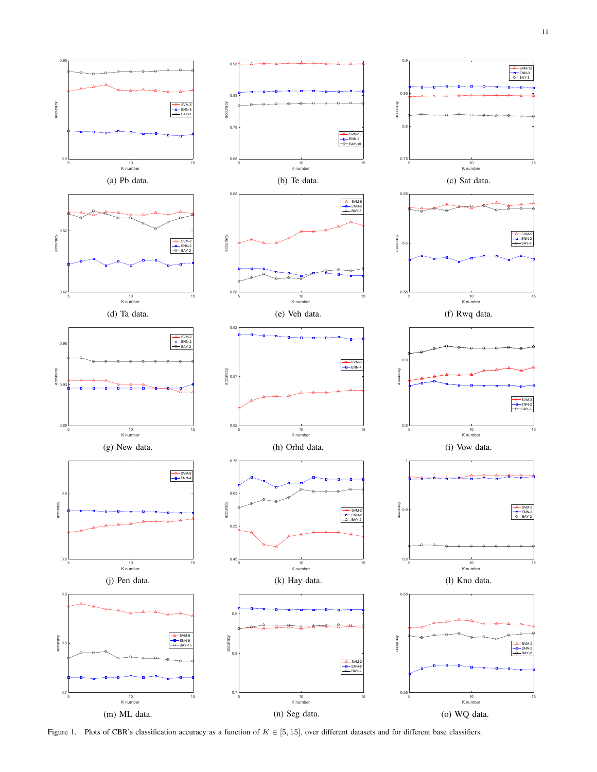

Figure 1. Plots of CBR's classification accuracy as a function of *K ∈* [5*,* 15], over different datasets and for different base classifiers.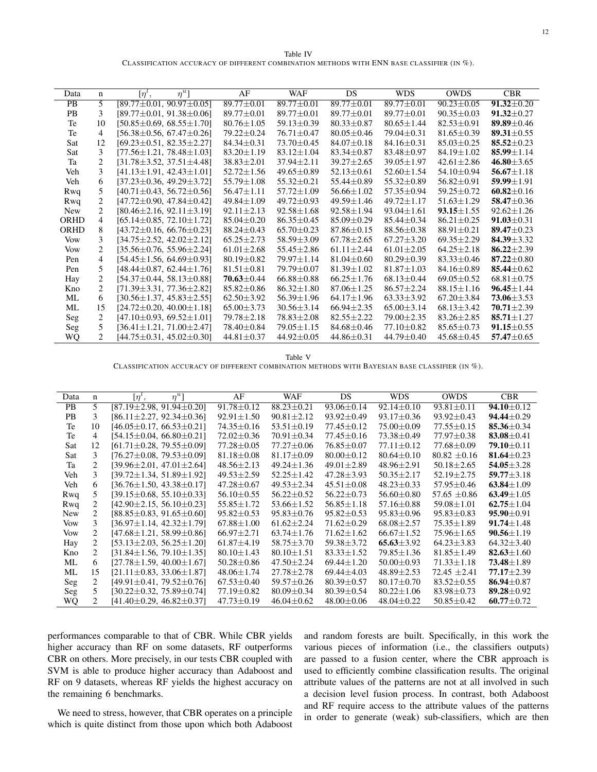Table IV CLASSIFICATION ACCURACY OF DIFFERENT COMBINATION METHODS WITH ENN BASE CLASSIFIER (IN %).

| Data        | n                           | $\eta^{u}$ ]<br>$[\eta^{\iota},$   | AF               | <b>WAF</b>       | <b>DS</b>        | <b>WDS</b>       | <b>OWDS</b>      | <b>CBR</b>       |
|-------------|-----------------------------|------------------------------------|------------------|------------------|------------------|------------------|------------------|------------------|
| <b>PB</b>   | $\overline{5}$              | $[89.77 \pm 0.01, 90.97 \pm 0.05]$ | $89.77 \pm 0.01$ | $89.77 \pm 0.01$ | $89.77 \pm 0.01$ | $89.77 \pm 0.01$ | $90.23 \pm 0.05$ | $91.32 \pm 0.20$ |
| <b>PB</b>   | 3                           | $[89.77 \pm 0.01, 91.38 \pm 0.06]$ | $89.77 \pm 0.01$ | $89.77 \pm 0.01$ | $89.77 \pm 0.01$ | $89.77 \pm 0.01$ | $90.35 \pm 0.03$ | $91.32 \pm 0.27$ |
| Te          | 10                          | $[50.85 \pm 0.69, 68.55 \pm 1.70]$ | $80.76 \pm 1.05$ | $59.13 \pm 0.39$ | $80.33 \pm 0.87$ | $80.65 \pm 1.44$ | $82.53 \pm 0.91$ | 89.89 $\pm$ 0.46 |
| Te          | $\overline{4}$              | $[56.38 \pm 0.56, 67.47 \pm 0.26]$ | 79.22±0.24       | $76.71 \pm 0.47$ | $80.05 \pm 0.46$ | $79.04 \pm 0.31$ | $81.65 \pm 0.39$ | 89.31 $\pm$ 0.55 |
| Sat         | 12                          | $[69.23 \pm 0.51, 82.35 \pm 2.27]$ | $84.34 \pm 0.31$ | $73.70 \pm 0.45$ | $84.07 \pm 0.18$ | $84.16 \pm 0.31$ | $85.03 \pm 0.25$ | 85.52 $\pm$ 0.23 |
| Sat         | 3                           | $[77.56 \pm 1.21, 78.48 \pm 1.03]$ | $83.20 \pm 1.19$ | $83.12 \pm 1.04$ | $83.34 \pm 0.87$ | 83.48±0.97       | $84.19 \pm 1.02$ | 85.99 $\pm$ 1.14 |
| Ta          | $\overline{c}$              | $[31.78 \pm 3.52, 37.51 \pm 4.48]$ | $38.83 \pm 2.01$ | $37.94 \pm 2.11$ | $39.27 \pm 2.65$ | $39.05 \pm 1.97$ | $42.61 \pm 2.86$ | $46.80 \pm 3.65$ |
| Veh         | 3                           | $[41.13 \pm 1.91, 42.43 \pm 1.01]$ | $52.72 \pm 1.56$ | $49.65 \pm 0.89$ | $52.13 \pm 0.61$ | $52.60 \pm 1.54$ | 54.10±0.94       | $56.67 \pm 1.18$ |
| Veh         | 6                           | $[37.23 \pm 0.36, 49.29 \pm 3.72]$ | $55.79 \pm 1.08$ | $55.32 \pm 0.21$ | $55.44 \pm 0.89$ | 55.32±0.89       | $56.82 \pm 0.91$ | $59.99 \pm 1.91$ |
| Rwq         | 5                           | $[40.71 \pm 0.43, 56.72 \pm 0.56]$ | $56.47 \pm 1.11$ | $57.72 \pm 1.09$ | $56.66 \pm 1.02$ | $57.35 \pm 0.94$ | $59.25 \pm 0.72$ | $60.82 \pm 0.16$ |
| Rwq         | $\overline{c}$              | $[47.72 \pm 0.90, 47.84 \pm 0.42]$ | $49.84 \pm 1.09$ | $49.72 \pm 0.93$ | $49.59 \pm 1.46$ | $49.72 \pm 1.17$ | $51.63 \pm 1.29$ | 58.47 $\pm$ 0.36 |
| <b>New</b>  | $\overline{2}$              | $[80.46 \pm 2.16, 92.11 \pm 3.19]$ | $92.11 \pm 2.13$ | $92.58 \pm 1.68$ | $92.58 \pm 1.94$ | $93.04 \pm 1.61$ | $93.15 \pm 1.55$ | $92.62 \pm 1.26$ |
| <b>ORHD</b> | 4                           | $[65.14 \pm 0.85, 72.10 \pm 1.72]$ | $85.04 \pm 0.20$ | $86.35 \pm 0.45$ | $85.09 \pm 0.29$ | $85.44 \pm 0.34$ | $86.21 \pm 0.25$ | $91.03 \pm 0.31$ |
| <b>ORHD</b> | 8                           | $[43.72 \pm 0.16, 66.76 \pm 0.23]$ | $88.24 \pm 0.43$ | $65.70 \pm 0.23$ | $87.86 \pm 0.15$ | $88.56 \pm 0.38$ | $88.91 \pm 0.21$ | 89.47 $\pm$ 0.23 |
| Vow         | 3                           | $[34.75 \pm 2.52, 42.02 \pm 2.12]$ | $65.25 \pm 2.73$ | $58.59 \pm 3.09$ | $67.78 \pm 2.65$ | $67.27 \pm 3.20$ | $69.35 \pm 2.29$ | 84.39 $\pm$ 3.32 |
| Vow         | $\overline{c}$              | $[35.56 \pm 0.76, 55.96 \pm 2.24]$ | $61.01 \pm 2.68$ | $55.45 \pm 2.86$ | $61.11 \pm 2.44$ | $61.01 \pm 2.05$ | $64.25 \pm 2.18$ | 86.22 $\pm$ 2.39 |
| Pen         | $\overline{4}$              | $[54.45 \pm 1.56, 64.69 \pm 0.93]$ | $80.19 \pm 0.82$ | 79.97 ± 1.14     | $81.04 \pm 0.60$ | $80.29 \pm 0.39$ | $83.33 \pm 0.46$ | $87.22 \pm 0.80$ |
| Pen         | 5                           | $[48.44 \pm 0.87, 62.44 \pm 1.76]$ | $81.51 \pm 0.81$ | $79.79 + 0.07$   | $81.39 \pm 1.02$ | $81.87 \pm 1.03$ | $84.16 \pm 0.89$ | 85.44 $\pm$ 0.62 |
| Hay         | $\overline{c}$              | $[54.37 \pm 0.44, 58.13 \pm 0.88]$ | $70.63 \pm 0.44$ | $66.88 \pm 0.88$ | $66.25 \pm 1.76$ | $68.13 \pm 0.44$ | $69.05 \pm 0.52$ | $68.81 \pm 0.75$ |
| Kno         | $\overline{c}$              | $[71.39 \pm 3.31, 77.36 \pm 2.82]$ | $85.82 \pm 0.86$ | $86.32 \pm 1.80$ | $87.06 \pm 1.25$ | $86.57 \pm 2.24$ | $88.15 \pm 1.16$ | $96.45 \pm 1.44$ |
| ML          | 6                           | $[30.56 \pm 1.37, 45.83 \pm 2.55]$ | $62.50 \pm 3.92$ | $56.39 \pm 1.96$ | $64.17 \pm 1.96$ | $63.33 \pm 3.92$ | $67.20 \pm 3.84$ | $73.06 \pm 3.53$ |
| ML          | 15                          | $[24.72 \pm 0.20, 40.00 \pm 1.18]$ | $65.00 \pm 3.73$ | $30.56 \pm 3.14$ | $66.94 \pm 2.35$ | $65.00 \pm 3.14$ | $68.13 \pm 3.42$ | $70.71 \pm 2.39$ |
| Seg         | 2                           | $[47.10 \pm 0.93, 69.52 \pm 1.01]$ | $79.78 \pm 2.18$ | $78.83 \pm 2.08$ | $82.55 \pm 2.22$ | $79.00 \pm 2.35$ | $83.26 \pm 2.85$ | $85.71 \pm 1.27$ |
| Seg         | 5                           | $[36.41 \pm 1.21, 71.00 \pm 2.47]$ | 78.40±0.84       | $79.05 \pm 1.15$ | $84.68 \pm 0.46$ | $77.10 \pm 0.82$ | $85.65 \pm 0.73$ | $91.15 \pm 0.55$ |
| WQ          | $\mathcal{D}_{\mathcal{L}}$ | $[44.75 \pm 0.31, 45.02 \pm 0.30]$ | $44.81 \pm 0.37$ | $44.92 \pm 0.05$ | $44.86 \pm 0.31$ | 44.79±0.40       | $45.68 \pm 0.45$ | $57.47 \pm 0.65$ |
|             |                             |                                    |                  |                  |                  |                  |                  |                  |

Table V

CLASSIFICATION ACCURACY OF DIFFERENT COMBINATION METHODS WITH BAYESIAN BASE CLASSIFIER  $(\text{IN }\mathcal{C}_0)$ .

| Data       | n                           | $\eta^u$ ]<br>$\lceil \eta^{\iota}$ , | AF               | WAF              | <b>DS</b>        | <b>WDS</b>       | <b>OWDS</b>      | <b>CBR</b>       |
|------------|-----------------------------|---------------------------------------|------------------|------------------|------------------|------------------|------------------|------------------|
| <b>PB</b>  | 5                           | $[87.19 \pm 2.98, 91.94 \pm 0.20]$    | $91.78 \pm 0.12$ | $88.23 \pm 0.21$ | $93.06 \pm 0.14$ | $92.14 \pm 0.10$ | $93.81 \pm 0.11$ | $94.10 \pm 0.12$ |
| <b>PB</b>  | 3                           | $[86.11 \pm 2.27, 92.34 \pm 0.36]$    | $92.91 \pm 1.50$ | $90.81 \pm 2.12$ | $93.92 \pm 0.49$ | $93.17 \pm 0.36$ | $93.92 \pm 0.43$ | $94.44 \pm 0.29$ |
| Te         | 10                          | $[46.05 \pm 0.17, 66.53 \pm 0.21]$    | $74.35 \pm 0.16$ | $53.51 \pm 0.19$ | $77.45 \pm 0.12$ | $75.00 \pm 0.09$ | $77.55 \pm 0.15$ | 85.36 $\pm$ 0.34 |
| Te         | $\overline{4}$              | $[54.15 \pm 0.04, 66.80 \pm 0.21]$    | $72.02 \pm 0.36$ | $70.91 \pm 0.34$ | 77.45 ± 0.16     | $73.38 \pm 0.49$ | $77.97 \pm 0.38$ | 83.08 $\pm$ 0.41 |
| Sat        | 12                          | $[61.71 \pm 0.28, 79.55 \pm 0.09]$    | $77.28 \pm 0.05$ | $77.27 \pm 0.06$ | $76.85 \pm 0.07$ | $77.11 \pm 0.12$ | $77.68 \pm 0.09$ | 79.10 $\pm$ 0.11 |
| Sat        | 3                           | $[76.27 \pm 0.08, 79.53 \pm 0.09]$    | $81.18 \pm 0.08$ | $81.17 \pm 0.09$ | $80.00 \pm 0.12$ | $80.64 \pm 0.10$ | $80.82 \pm 0.16$ | 81.64 $\pm$ 0.23 |
| Ta         | $\mathcal{D}_{\mathcal{L}}$ | $[39.96 \pm 2.01, 47.01 \pm 2.64]$    | $48.56 \pm 2.13$ | $49.24 \pm 1.36$ | $49.01 \pm 2.89$ | $48.96 \pm 2.91$ | $50.18 \pm 2.65$ | $54.05 \pm 3.28$ |
| Veh        | 3                           | $[39.72 \pm 1.34, 51.89 \pm 1.92]$    | $49.53 \pm 2.59$ | $52.25 \pm 1.42$ | $47.28 \pm 3.93$ | $50.35 \pm 2.17$ | $52.19 \pm 2.75$ | $59.77 \pm 3.18$ |
| Veh        | 6                           | $[36.76 \pm 1.50, 43.38 \pm 0.17]$    | $47.28 \pm 0.67$ | 49.53±2.34       | $45.51 \pm 0.08$ | $48.23 \pm 0.33$ | $57.95 \pm 0.46$ | $63.84 \pm 1.09$ |
| Rwq        | 5.                          | $[39.15 \pm 0.68, 55.10 \pm 0.33]$    | $56.10 \pm 0.55$ | $56.22 \pm 0.52$ | $56.22 \pm 0.73$ | $56.60 \pm 0.80$ | 57.65 $\pm$ 0.86 | $63.49 \pm 1.05$ |
| Rwq        | 2                           | $[42.90 \pm 2.15, 56.10 \pm 0.23]$    | $55.85 \pm 1.72$ | $53.66 \pm 1.52$ | $56.85 \pm 1.18$ | $57.16 \pm 0.88$ | $59.08 \pm 1.01$ | $62.75 \pm 1.04$ |
| <b>New</b> | 2                           | $[88.85 \pm 0.83, 91.65 \pm 0.60]$    | $95.82 \pm 0.53$ | $95.83 \pm 0.76$ | $95.82 \pm 0.53$ | $95.83 \pm 0.96$ | $95.83 \pm 0.83$ | $95.90 + 0.91$   |
| <b>Vow</b> | 3                           | $[36.97 \pm 1.14, 42.32 \pm 1.79]$    | $67.88 \pm 1.00$ | $61.62 \pm 2.24$ | $71.62 \pm 0.29$ | $68.08 \pm 2.57$ | $75.35 \pm 1.89$ | $91.74 \pm 1.48$ |
| <b>Vow</b> | 2                           | $[47.68 \pm 1.21, 58.99 \pm 0.86]$    | $66.97 \pm 2.71$ | $63.74 \pm 1.76$ | $71.62 \pm 1.62$ | $66.67 \pm 1.52$ | $75.96 \pm 1.65$ | $90.56 \pm 1.19$ |
| Hay        | 2                           | $[53.13 \pm 2.03, 56.25 \pm 1.20]$    | $61.87 \pm 4.19$ | $58.75 \pm 3.70$ | $59.38 \pm 3.72$ | $65.63 \pm 3.92$ | $64.23 \pm 3.83$ | $64.32 \pm 3.40$ |
| Kno        | 2                           | $[31.84 \pm 1.56, 79.10 \pm 1.35]$    | $80.10 \pm 1.43$ | $80.10 \pm 1.51$ | $83.33 \pm 1.52$ | 79.85±1.36       | $81.85 \pm 1.49$ | $82.63 \pm 1.60$ |
| ML         | 6                           | $[27.78 \pm 1.59, 40.00 \pm 1.67]$    | $50.28 \pm 0.86$ | $47.50 \pm 2.24$ | $69.44 \pm 1.20$ | $50.00 \pm 0.93$ | $71.33 \pm 1.18$ | $73.48 \pm 1.89$ |
| ML         | 15                          | $[21.11 \pm 0.83, 33.06 \pm 1.87]$    | $48.06 \pm 1.74$ | $27.78 \pm 2.78$ | $69.44 \pm 4.03$ | $48.89 \pm 2.53$ | $72.45 \pm 2.41$ | $77.17 \pm 2.39$ |
| Seg        | 2                           | $[49.91 \pm 0.41, 79.52 \pm 0.76]$    | $67.53 \pm 0.40$ | 59.57 ± 0.26     | $80.39 \pm 0.57$ | $80.17 \pm 0.70$ | $83.52 \pm 0.55$ | 86.94 $\pm$ 0.87 |
| Seg        | 5.                          | $[30.22 \pm 0.32, 75.89 \pm 0.74]$    | $77.19 \pm 0.82$ | $80.09 \pm 0.34$ | $80.39 \pm 0.54$ | $80.22 \pm 1.06$ | $83.98 \pm 0.73$ | 89.28 $\pm$ 0.92 |
| WQ         | 2.                          | $[41.40 \pm 0.29, 46.82 \pm 0.37]$    | $47.73 \pm 0.19$ | $46.04 \pm 0.62$ | $48.00 \pm 0.06$ | $48.04 \pm 0.22$ | $50.85 \pm 0.42$ | 60.77 $\pm$ 0.72 |

performances comparable to that of CBR. While CBR yields higher accuracy than RF on some datasets, RF outperforms CBR on others. More precisely, in our tests CBR coupled with SVM is able to produce higher accuracy than Adaboost and RF on 9 datasets, whereas RF yields the highest accuracy on the remaining 6 benchmarks.

We need to stress, however, that CBR operates on a principle which is quite distinct from those upon which both Adaboost and random forests are built. Specifically, in this work the various pieces of information (i.e., the classifiers outputs) are passed to a fusion center, where the CBR approach is used to efficiently combine classification results. The original attribute values of the patterns are not at all involved in such a decision level fusion process. In contrast, both Adaboost and RF require access to the attribute values of the patterns in order to generate (weak) sub-classifiers, which are then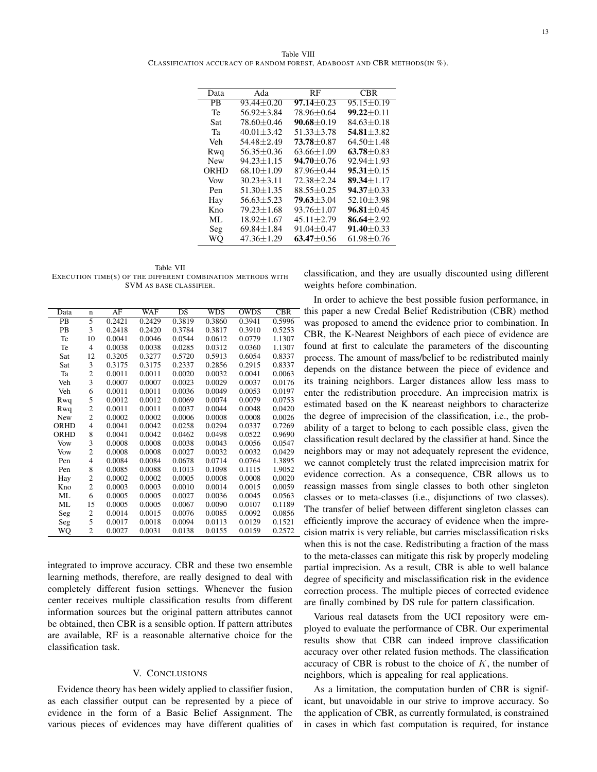| Data       | Ada              | RF               | CBR              |
|------------|------------------|------------------|------------------|
| <b>PR</b>  | $93.44 + 0.20$   | $97.14 + 0.23$   | $95.15 \pm 0.19$ |
| Te         | $56.92 + 3.84$   | 78.96±0.64       | $99.22 + 0.11$   |
| Sat        | $78.60 + 0.46$   | $90.68 + 0.19$   | $84.63 + 0.18$   |
| Та         | $40.01 + 3.42$   | $51.33 + 3.78$   | $54.81 + 3.82$   |
| Veh        | $54.48 + 2.49$   | $73.78 + 0.87$   | $64.50 + 1.48$   |
| Rwq        | $56.35 \pm 0.36$ | $63.66 \pm 1.09$ | $63.78 + 0.83$   |
| <b>New</b> | $94.23 + 1.15$   | $94.70 + 0.76$   | $92.94 + 1.93$   |
| ORHD       | $68.10 \pm 1.09$ | 87.96±0.44       | $95.31 + 0.15$   |
| Vow        | $30.23 + 3.11$   | $72.38 + 2.24$   | $89.34 + 1.17$   |
| Pen        | $51.30 + 1.35$   | $88.55 + 0.25$   | $94.37 + 0.33$   |
| Hay        | $56.63 + 5.23$   | $79.63 + 3.04$   | $52.10 + 3.98$   |
| Kno        | $79.23 + 1.68$   | $93.76 + 1.07$   | $96.81 + 0.45$   |
| ML.        | $18.92 \pm 1.67$ | $45.11 \pm 2.79$ | 86.64 $\pm$ 2.92 |
| Seg        | $69.84 + 1.84$   | $91.04 + 0.47$   | $91.40 + 0.33$   |
| WО         | $47.36 + 1.29$   | $63.47 + 0.56$   | $61.98 + 0.76$   |

Table VII EXECUTION TIME(S) OF THE DIFFERENT COMBINATION METHODS WITH SVM AS BASE CLASSIFIER.

| Data | $\mathbf n$    | AF     | <b>WAF</b> | DS     | <b>WDS</b> | <b>OWDS</b> | <b>CBR</b> |
|------|----------------|--------|------------|--------|------------|-------------|------------|
| PB   | 5              | 0.2421 | 0.2429     | 0.3819 | 0.3860     | 0.3941      | 0.5996     |
| PB   | 3              | 0.2418 | 0.2420     | 0.3784 | 0.3817     | 0.3910      | 0.5253     |
| Te   | 10             | 0.0041 | 0.0046     | 0.0544 | 0.0612     | 0.0779      | 1.1307     |
| Te   | $\overline{4}$ | 0.0038 | 0.0038     | 0.0285 | 0.0312     | 0.0360      | 1.1307     |
| Sat  | 12             | 0.3205 | 0.3277     | 0.5720 | 0.5913     | 0.6054      | 0.8337     |
| Sat  | 3              | 0.3175 | 0.3175     | 0.2337 | 0.2856     | 0.2915      | 0.8337     |
| Ta   | $\overline{c}$ | 0.0011 | 0.0011     | 0.0020 | 0.0032     | 0.0041      | 0.0063     |
| Veh  | 3              | 0.0007 | 0.0007     | 0.0023 | 0.0029     | 0.0037      | 0.0176     |
| Veh  | 6              | 0.0011 | 0.0011     | 0.0036 | 0.0049     | 0.0053      | 0.0197     |
| Rwq  | 5              | 0.0012 | 0.0012     | 0.0069 | 0.0074     | 0.0079      | 0.0753     |
| Rwq  | $\overline{c}$ | 0.0011 | 0.0011     | 0.0037 | 0.0044     | 0.0048      | 0.0420     |
| New  | $\overline{c}$ | 0.0002 | 0.0002     | 0.0006 | 0.0008     | 0.0008      | 0.0026     |
| ORHD | $\overline{4}$ | 0.0041 | 0.0042     | 0.0258 | 0.0294     | 0.0337      | 0.7269     |
| ORHD | 8              | 0.0041 | 0.0042     | 0.0462 | 0.0498     | 0.0522      | 0.9690     |
| Vow  | 3              | 0.0008 | 0.0008     | 0.0038 | 0.0043     | 0.0056      | 0.0547     |
| Vow  | $\overline{c}$ | 0.0008 | 0.0008     | 0.0027 | 0.0032     | 0.0032      | 0.0429     |
| Pen  | $\overline{4}$ | 0.0084 | 0.0084     | 0.0678 | 0.0714     | 0.0764      | 1.3895     |
| Pen  | 8              | 0.0085 | 0.0088     | 0.1013 | 0.1098     | 0.1115      | 1.9052     |
| Hay  | $\overline{c}$ | 0.0002 | 0.0002     | 0.0005 | 0.0008     | 0.0008      | 0.0020     |
| Kno  | $\overline{2}$ | 0.0003 | 0.0003     | 0.0010 | 0.0014     | 0.0015      | 0.0059     |
| ML   | 6              | 0.0005 | 0.0005     | 0.0027 | 0.0036     | 0.0045      | 0.0563     |
| ML   | 15             | 0.0005 | 0.0005     | 0.0067 | 0.0090     | 0.0107      | 0.1189     |
| Seg  | $\overline{c}$ | 0.0014 | 0.0015     | 0.0076 | 0.0085     | 0.0092      | 0.0856     |
| Seg  | 5              | 0.0017 | 0.0018     | 0.0094 | 0.0113     | 0.0129      | 0.1521     |
| WQ   | $\overline{c}$ | 0.0027 | 0.0031     | 0.0138 | 0.0155     | 0.0159      | 0.2572     |

integrated to improve accuracy. CBR and these two ensemble learning methods, therefore, are really designed to deal with completely different fusion settings. Whenever the fusion center receives multiple classification results from different information sources but the original pattern attributes cannot be obtained, then CBR is a sensible option. If pattern attributes are available, RF is a reasonable alternative choice for the classification task.

## V. CONCLUSIONS

Evidence theory has been widely applied to classifier fusion, as each classifier output can be represented by a piece of evidence in the form of a Basic Belief Assignment. The various pieces of evidences may have different qualities of classification, and they are usually discounted using different weights before combination.

In order to achieve the best possible fusion performance, in this paper a new Credal Belief Redistribution (CBR) method was proposed to amend the evidence prior to combination. In CBR, the K-Nearest Neighbors of each piece of evidence are found at first to calculate the parameters of the discounting process. The amount of mass/belief to be redistributed mainly depends on the distance between the piece of evidence and its training neighbors. Larger distances allow less mass to enter the redistribution procedure. An imprecision matrix is estimated based on the K neareast neighbors to characterize the degree of imprecision of the classification, i.e., the probability of a target to belong to each possible class, given the classification result declared by the classifier at hand. Since the neighbors may or may not adequately represent the evidence, we cannot completely trust the related imprecision matrix for evidence correction. As a consequence, CBR allows us to reassign masses from single classes to both other singleton classes or to meta-classes (i.e., disjunctions of two classes). The transfer of belief between different singleton classes can efficiently improve the accuracy of evidence when the imprecision matrix is very reliable, but carries misclassification risks when this is not the case. Redistributing a fraction of the mass to the meta-classes can mitigate this risk by properly modeling partial imprecision. As a result, CBR is able to well balance degree of specificity and misclassification risk in the evidence correction process. The multiple pieces of corrected evidence are finally combined by DS rule for pattern classification.

Various real datasets from the UCI repository were employed to evaluate the performance of CBR. Our experimental results show that CBR can indeed improve classification accuracy over other related fusion methods. The classification accuracy of CBR is robust to the choice of *K*, the number of neighbors, which is appealing for real applications.

As a limitation, the computation burden of CBR is significant, but unavoidable in our strive to improve accuracy. So the application of CBR, as currently formulated, is constrained in cases in which fast computation is required, for instance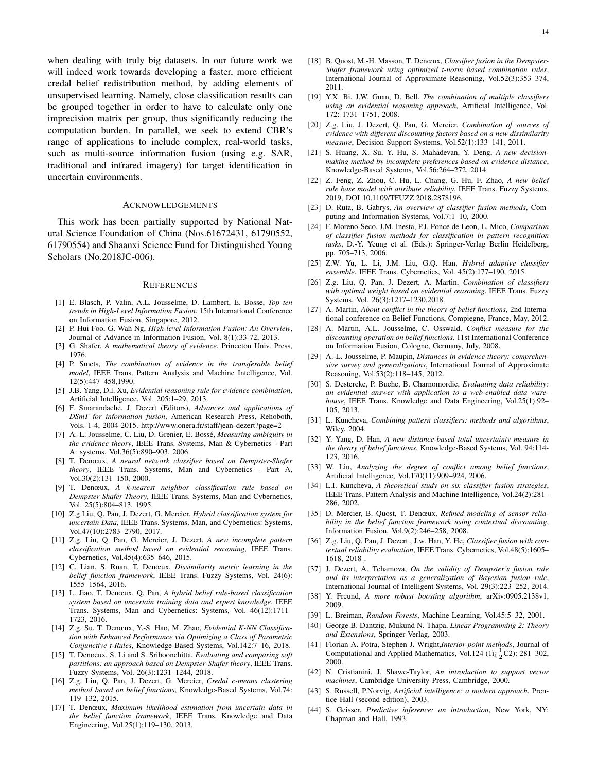when dealing with truly big datasets. In our future work we will indeed work towards developing a faster, more efficient credal belief redistribution method, by adding elements of unsupervised learning. Namely, close classification results can be grouped together in order to have to calculate only one imprecision matrix per group, thus significantly reducing the computation burden. In parallel, we seek to extend CBR's range of applications to include complex, real-world tasks, such as multi-source information fusion (using e.g. SAR, traditional and infrared imagery) for target identification in uncertain environments.

#### ACKNOWLEDGEMENTS

This work has been partially supported by National Natural Science Foundation of China (Nos.61672431, 61790552, 61790554) and Shaanxi Science Fund for Distinguished Young Scholars (No.2018JC-006).

#### **REFERENCES**

- [1] E. Blasch, P. Valin, A.L. Jousselme, D. Lambert, E. Bosse, *Top ten trends in High-Level Information Fusion*, 15th International Conference on Information Fusion, Singapore, 2012.
- [2] P. Hui Foo, G. Wah Ng, *High-level Information Fusion: An Overview*, Journal of Advance in Information Fusion, Vol. 8(1):33-72, 2013.
- [3] G. Shafer, *A mathematical theory of evidence*, Princeton Univ. Press, 1976.
- [4] P. Smets, *The combination of evidence in the transferable belief model*, IEEE Trans. Pattern Analysis and Machine Intelligence, Vol. 12(5):447–458,1990.
- [5] J.B. Yang, D.l. Xu, *Evidential reasoning rule for evidence combination*, Artificial Intelligence, Vol. 205:1–29, 2013.
- [6] F. Smarandache, J. Dezert (Editors), *Advances and applications of DSmT for information fusion*, American Research Press, Rehoboth, Vols. 1-4, 2004-2015. http://www.onera.fr/staff/jean-dezert?page=2
- [7] A.-L. Jousselme, C. Liu, D. Grenier, E. Bosse,´ *Measuring ambiguity in the evidence theory*, IEEE Trans. Systems, Man & Cybernetics - Part A: systems, Vol.36(5):890–903, 2006.
- [8] T. Denœux, *A neural network classifier based on Dempster-Shafer theory*, IEEE Trans. Systems, Man and Cybernetics - Part A, Vol.30(2):131–150, 2000.
- [9] T. Denœux, *A k-nearest neighbor classification rule based on Dempster-Shafer Theory*, IEEE Trans. Systems, Man and Cybernetics, Vol. 25(5):804–813, 1995.
- [10] Z.g Liu, Q. Pan, J. Dezert, G. Mercier, *Hybrid classification system for uncertain Data*, IEEE Trans. Systems, Man, and Cybernetics: Systems, Vol.47(10):2783–2790, 2017.
- [11] Z.g. Liu, Q. Pan, G. Mercier, J. Dezert, *A new incomplete pattern classification method based on evidential reasoning*, IEEE Trans. Cybernetics, Vol.45(4):635–646, 2015.
- [12] C. Lian, S. Ruan, T. Denœux, *Dissimilarity metric learning in the belief function framework*, IEEE Trans. Fuzzy Systems, Vol. 24(6): 1555–1564, 2016.
- [13] L. Jiao, T. Denœux, Q. Pan, *A hybrid belief rule-based classification system based on uncertain training data and expert knowledge*, IEEE Trans. Systems, Man and Cybernetics: Systems, Vol. 46(12):1711– 1723, 2016.
- [14] Z.g. Su, T. Denœux, Y.-S. Hao, M. Zhao, *Evidential K-NN Classification with Enhanced Performance via Optimizing a Class of Parametric Conjunctive t-Rules*, Knowledge-Based Systems, Vol.142:7–16, 2018.
- [15] T. Denoeux, S. Li and S. Sriboonchitta, *Evaluating and comparing soft partitions: an approach based on Dempster-Shafer theory*, IEEE Trans. Fuzzy Systems, Vol. 26(3):1231–1244, 2018.
- [16] Z.g. Liu, Q. Pan, J. Dezert, G. Mercier, *Credal c-means clustering method based on belief functions*, Knowledge-Based Systems, Vol.74: 119–132, 2015.
- [17] T. Denœux, *Maximum likelihood estimation from uncertain data in the belief function framework*, IEEE Trans. Knowledge and Data Engineering, Vol.25(1):119–130, 2013.
- [18] B. Quost, M.-H. Masson, T. Denœux, *Classifier fusion in the Dempster-Shafer framework using optimized t-norm based combination rules*, International Journal of Approximate Reasoning, Vol.52(3):353–374, 2011.
- [19] Y.X. Bi, J.W. Guan, D. Bell, *The combination of multiple classifiers using an evidential reasoning approach*, Artificial Intelligence, Vol. 172: 1731–1751, 2008.
- [20] Z.g. Liu, J. Dezert, Q. Pan, G. Mercier, *Combination of sources of evidence with different discounting factors based on a new dissimilarity measure*, Decision Support Systems, Vol.52(1):133–141, 2011.
- [21] S. Huang, X. Su, Y. Hu, S. Mahadevan, Y. Deng, *A new decisionmaking method by incomplete preferences based on evidence distance*, Knowledge-Based Systems, Vol.56:264–272, 2014.
- [22] Z. Feng, Z. Zhou, C. Hu, L. Chang, G. Hu, F. Zhao, *A new belief rule base model with attribute reliability*, IEEE Trans. Fuzzy Systems, 2019, DOI 10.1109/TFUZZ.2018.2878196.
- [23] D. Ruta, B. Gabrys, *An overview of classifier fusion methods*, Computing and Information Systems, Vol.7:1–10, 2000.
- [24] F. Moreno-Seco, J.M. Inesta, P.J. Ponce de Leon, L. Mico, *Comparison of classifier fusion methods for classification in pattern recognition tasks*, D.-Y. Yeung et al. (Eds.): Springer-Verlag Berlin Heidelberg, pp. 705–713, 2006.
- [25] Z.W. Yu, L. Li, J.M. Liu, G.Q. Han, *Hybrid adaptive classifier ensemble*, IEEE Trans. Cybernetics, Vol. 45(2):177–190, 2015.
- [26] Z.g. Liu, Q. Pan, J. Dezert, A. Martin, *Combination of classifiers with optimal weight based on evidential reasoning*, IEEE Trans. Fuzzy Systems, Vol. 26(3):1217–1230,2018.
- [27] A. Martin, *About conflict in the theory of belief functions*, 2nd International conference on Belief Functions, Compiegne, France, May, 2012.
- [28] A. Martin, A.L. Jousselme, C. Osswald, *Conflict measure for the discounting operation on belief functions*. 11st International Conference on Information Fusion, Cologne, Germany, July, 2008.
- [29] A.-L. Jousselme, P. Maupin, *Distances in evidence theory: comprehensive survey and generalizations*, International Journal of Approximate Reasoning, Vol.53(2):118–145, 2012.
- [30] S. Destercke, P. Buche, B. Charnomordic, *Evaluating data reliability: an evidential answer with application to a web-enabled data warehouse*, IEEE Trans. Knowledge and Data Engineering, Vol.25(1):92– 105, 2013.
- [31] L. Kuncheva, *Combining pattern classifiers: methods and algorithms*, Wiley, 2004.
- [32] Y. Yang, D. Han, *A new distance-based total uncertainty measure in the theory of belief functions*, Knowledge-Based Systems, Vol. 94:114- 123, 2016.
- [33] W. Liu, *Analyzing the degree of conflict among belief functions*, Artificial Intelligence, Vol.170(11):909–924, 2006.
- [34] L.I. Kuncheva, *A theoretical study on six classifier fusion strategies*, IEEE Trans. Pattern Analysis and Machine Intelligence, Vol.24(2):281– 286, 2002.
- [35] D. Mercier, B. Quost, T. Denœux, *Refined modeling of sensor reliability in the belief function framework using contextual discounting*, Information Fusion, Vol.9(2):246–258, 2008.
- [36] Z.g. Liu, Q. Pan, J. Dezert , J.w. Han, Y. He, *Classifier fusion with contextual reliability evaluation*, IEEE Trans. Cybernetics, Vol.48(5):1605– 1618, 2018 .
- [37] J. Dezert, A. Tchamova, *On the validity of Dempster's fusion rule and its interpretation as a generalization of Bayesian fusion rule*, International Journal of Intelligent Systems, Vol. 29(3):223–252, 2014.
- [38] Y. Freund, *A more robust boosting algorithm*, arXiv:0905.2138v1, 2009.
- [39] L. Breiman, *Random Forests*, Machine Learning, Vol.45:5–32, 2001.
- [40] George B. Dantzig, Mukund N. Thapa, *Linear Programming 2: Theory and Extensions*, Springer-Verlag, 2003.
- [41] Florian A. Potra, Stephen J. Wright,*Interior-point methods*, Journal of Computational and Applied Mathematics, Vol.124 ( $1i\frac{1}{2}$ C2): 281–302, 2000.
- [42] N. Cristianini, J. Shawe-Taylor, *An introduction to support vector machines*, Cambridge University Press, Cambridge, 2000.
- [43] S. Russell, P.Norvig, *Artificial intelligence: a modern approach*, Prentice Hall (second edition), 2003.
- [44] S. Geisser, *Predictive inference: an introduction*, New York, NY: Chapman and Hall, 1993.